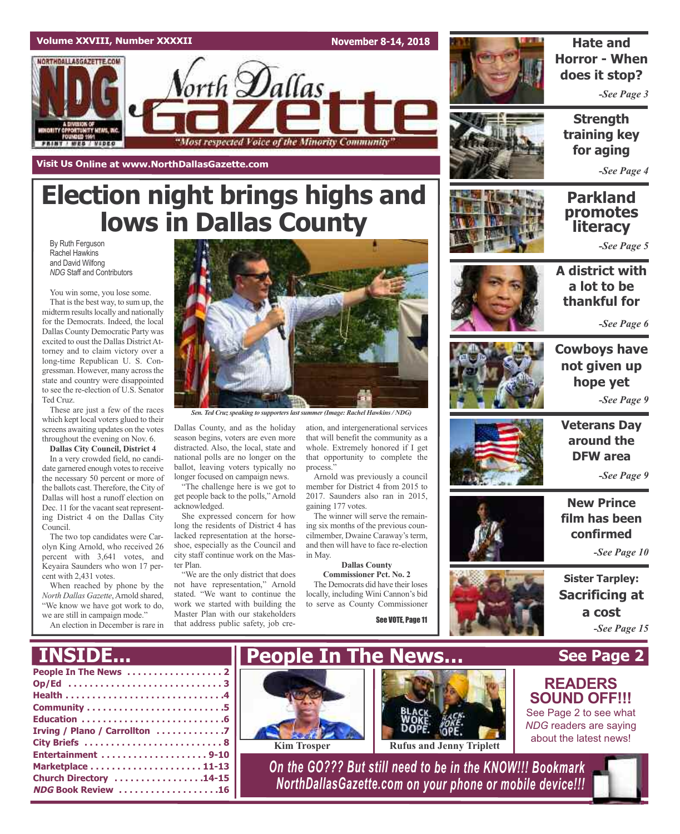#### **Volume XXVIII, Number XXXXII**

NORTHDALLASGAZETTE.COM

**Visit Us Online at www.NorthDallasGazette.com**

**November 8-14, 2018**



**Hate and Horror - When does it stop?**

*-See Page 3*

**Strength training key for aging**

*-See Page 4*

### **Parkland promotes literacy**

*-See Page 5*

By Ruth Ferguson Rachel Hawkins and David Wilfong *NDG* Staff and Contributors

You win some, you lose some. That is the best way, to sum up, the midterm results locally and nationally for the Democrats. Indeed, the local Dallas County Democratic Party was excited to oust the Dallas DistrictAttorney and to claim victory over a long-time Republican U. S. Congressman. However, many across the state and country were disappointed to see the re-election of U.S. Senator Ted Cruz.

These are just a few of the races which kept local voters glued to their screens awaiting updates on the votes throughout the evening on Nov. 6.

**Dallas City Council, District 4**

In a very crowded field, no candidate garnered enough votes to receive the necessary 50 percent or more of the ballots cast. Therefore, the City of Dallas will host a runoff election on Dec. 11 for the vacant seat representing District 4 on the Dallas City Council.

The two top candidates were Carolyn King Arnold, who received 26 percent with 3,641 votes, and Keyaira Saunders who won 17 percent with 2,431 votes.

When reached by phone by the *North Dallas Gazette*,Arnold shared, "We know we have got work to do, we are still in campaign mode."

An election in December is rare in



*Sen. Ted Cruzspeaking to supporterslastsummer(Image: Rachel Hawkins/ NDG)*

Dallas County, and as the holiday season begins, voters are even more distracted. Also, the local, state and national polls are no longer on the ballot, leaving voters typically no longer focused on campaign news.

**Election night brings highs and**

orth **D**allas

"Most respected Voice of the Minority Community

**lows in Dallas County**

"The challenge here is we got to get people back to the polls," Arnold acknowledged.

She expressed concern for how long the residents of District 4 has lacked representation at the horseshoe, especially as the Council and city staff continue work on the Master Plan.

"We are the only district that does not have representation," Arnold stated. "We want to continue the work we started with building the Master Plan with our stakeholders that address public safety, job cre-

ation, and intergenerational services that will benefit the community as a whole. Extremely honored if I get that opportunity to complete the process."

Arnold was previously a council member for District 4 from 2015 to 2017. Saunders also ran in 2015, gaining 177 votes.

The winner will serve the remaining six months of the previous councilmember, Dwaine Caraway's term, and then will have to face re-election in May.

**Dallas County Commissioner Pct. No. 2**

The Democrats did have their loses locally, including Wini Cannon's bid to serve as County Commissioner

See VOTE, Page 11





*-See Page 6*



**Cowboys have not given up hope yet** *-See Page 9*



**Veterans Day around the DFW area**

*-See Page 9*

**New Prince film has been confirmed**

*-See Page 10*

**Sister Tarpley: Sacrificing at a cost** *-See Page 15*

**See Page 2**

**READERS SOUND OFF!!!** See Page 2 to see what *NDG* readers are saying about the latest news!

### **INSIDE...**

| Op/Ed 3                       |
|-------------------------------|
|                               |
|                               |
|                               |
| Irving / Plano / Carrollton 7 |
|                               |
|                               |
|                               |
| Church Directory 14-15        |
| NDG Book Review 16            |





*On the GO??? But still need to be in the KNOW!!! Bookmark NorthDallasGazette.com on your phone or mobile device!!!*

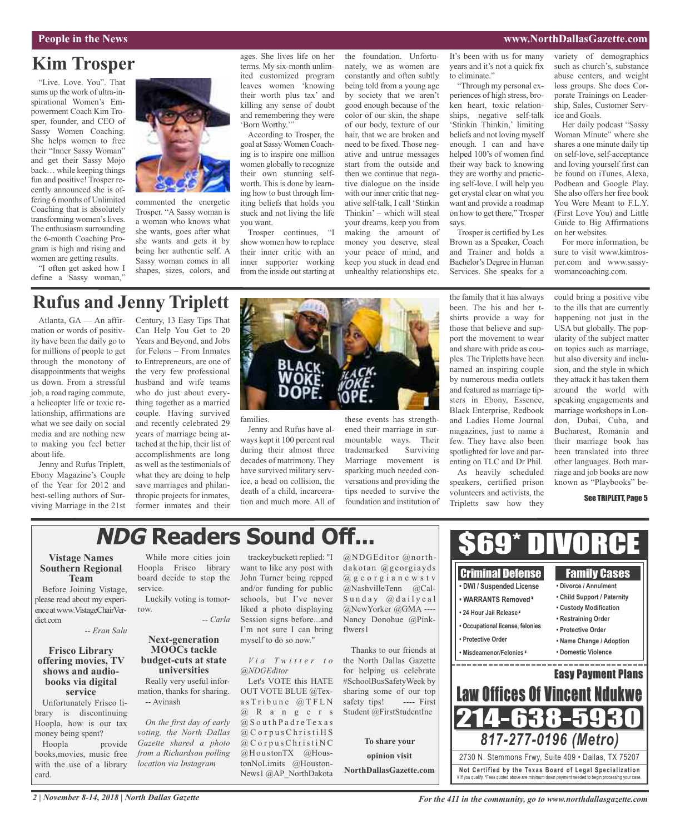#### **People in the News www.NorthDallasGazette.com**

### **Kim Trosper**

"Live. Love. You". That sums up the work of ultra-inspirational Women's Empowerment Coach Kim Trosper, founder, and CEO of Sassy Women Coaching. She helps women to free their "Inner Sassy Woman" and get their Sassy Mojo back… while keeping things fun and positive! Trosper recently announced she is offering 6 months of Unlimited Coaching that is absolutely transforming women's lives. The enthusiasm surrounding the 6-month Coaching Program is high and rising and women are getting results.

"I often get asked how I define a Sassy woman,"



commented the energetic Trosper. "A Sassy woman is a woman who knows what she wants, goes after what she wants and gets it by being her authentic self. A Sassy woman comes in all shapes, sizes, colors, and ages. She lives life on her terms. My six-month unlimited customized program leaves women 'knowing their worth plus tax' and killing any sense of doubt and remembering they were 'Born Worthy.'"

According to Trosper, the goal at Sassy Women Coaching is to inspire one million women globally to recognize their own stunning selfworth. This is done by learning how to bust through limiting beliefs that holds you stuck and not living the life you want.

Trosper continues, "I show women how to replace their inner critic with an inner supporter working from the inside out starting at

the foundation. Unfortunately, we as women are constantly and often subtly being told from a young age by society that we aren't good enough because of the color of our skin, the shape of our body, texture of our hair, that we are broken and need to be fixed. Those negative and untrue messages start from the outside and then we continue that negative dialogue on the inside with our inner critic that negative self-talk, I call 'Stinkin Thinkin' – which will steal your dreams, keep you from making the amount of money you deserve, steal your peace of mind, and keep you stuck in dead end unhealthy relationships etc.

It's been with us for many years and it's not a quick fix to eliminate."

"Through my personal experiences of high stress, broken heart, toxic relationships, negative self-talk 'Stinkin Thinkin,' limiting beliefs and not loving myself enough. I can and have helped 100's of women find their way back to knowing they are worthy and practicing self-love. I will help you get crystal clear on what you want and provide a roadmap on how to get there," Trosper says.

Trosper is certified by Les Brown as a Speaker, Coach and Trainer and holds a Bachelor's Degree in Human Services. She speaks for a

variety of demographics such as church's, substance abuse centers, and weight loss groups. She does Corporate Trainings on Leadership, Sales, Customer Service and Goals.

Her daily podcast "Sassy Woman Minute" where she shares a one minute daily tip on self-love, self-acceptance and loving yourself first can be found on iTunes, Alexa, Podbean and Google Play. She also offers her free book You Were Meant to F.L.Y. (First Love You) and Little Guide to Big Affirmations on her websites.

For more information, be sure to visit www.kimtrosper.com and www.sassywomancoaching.com.

## **Rufus and Jenny Triplett**

Atlanta, GA — An affirmation or words of positivity have been the daily go to for millions of people to get through the monotony of disappointments that weighs us down. From a stressful job, a road raging commute, a helicopter life or toxic relationship, affirmations are what we see daily on social media and are nothing new to making you feel better about life.

Jenny and Rufus Triplett, Ebony Magazine's Couple of the Year for 2012 and best-selling authors of Surviving Marriage in the 21st

Century, 13 Easy Tips That Can Help You Get to 20 Years and Beyond, and Jobs for Felons – From Inmates to Entrepreneurs, are one of the very few professional husband and wife teams who do just about everything together as a married couple. Having survived and recently celebrated 29 years of marriage being attached at the hip, their list of accomplishments are long as well as the testimonials of what they are doing to help save marriages and philanthropic projects for inmates, former inmates and their



families.

Jenny and Rufus have always kept it 100 percent real during their almost three decades of matrimony. They have survived military service, a head on collision, the death of a child, incarceration and much more. All of

these events has strengthened their marriage in surmountable ways. Their<br>trademarked Surviving trademarked Marriage movement is sparking much needed conversations and providing the tips needed to survive the foundation and institution of the family that it has always been. The his and her tshirts provide a way for those that believe and support the movement to wear and share with pride as couples. The Tripletts have been named an inspiring couple by numerous media outlets and featured as marriage tipsters in Ebony, Essence, Black Enterprise, Redbook and Ladies Home Journal magazines, just to name a few. They have also been spotlighted for love and parenting on TLC and Dr Phil. As heavily scheduled speakers, certified prison volunteers and activists, the Tripletts saw how they

> Criminal Defense **• DWI / Suspended License • WARRANTS Removed ¥ • 24 Hour Jail Release ¥**

could bring a positive vibe to the ills that are currently happening not just in the USA but globally. The popularity of the subject matter on topics such as marriage, but also diversity and inclusion, and the style in which they attack it has taken them around the world with speaking engagements and marriage workshops in London, Dubai, Cuba, and Bucharest, Romania and their marriage book has been translated into three other languages. Both marriage and job books are now known as "Playbooks" be-

See TRIPLETT, Page 5

Family Cases **• Divorce / Annulment • Child Support / Paternity • Custody Modification**

## **NDG Readers Sound Off...**

#### **Vistage Names Southern Regional Team**

Before Joining Vistage, please read about my experienceatwww.VistageChairVerdict.com

*-- Eran Salu*

#### **Frisco Library offering movies, TV books via** digital **service**

Unfortunately Frisco library is discontinuing Hoopla, how is our tax money being spent?

Hoopla provide books,movies, music free with the use of a library card.

While more cities join Hoopla Frisco library board decide to stop the service.

Luckily voting is tomorrow.

*-- Carla*

#### **Next-generation MOOCs tackle budget-cuts at state universities**

Really very useful information, thanks for sharing. -- Avinash

*On the first day of early voting, the North Dallas Gazette shared a photo from a Richardson polling location via Instagram*

trackeybuckett replied: "I want to like any post with John Turner being repped and/or funding for public schools, but I've never liked a photo displaying Session signs before...and I'm not sure I can bring myself to do so now."

#### *V i a T w i t t e r t o @NDGEditor*

Let's VOTE this HATE OUT VOTE BLUE @Texa s T r i b u n e @ T F L N @ R a n g e r s  $@S$  outh Padre Texas  $@C$  orpus Christi $H S$  $@$  C o r p u s C h r i s t i N C @HoustonTX @HoustonNoLimits @Houston-News1 @AP\_NorthDakota

@NDGEditor @northdakotan @georgiayds @ g e o r g i a n e w s t v @NashvilleTenn @Cal- $S$ unday  $@$ dailycal @NewYorker @GMA ---- Nancy Donohue @Pinkflwers1

Thanks to our friends at the North Dallas Gazette for helping us celebrate #SchoolBusSafetyWeek by sharing some of our top safety tips! ---- First Student @FirstStudentInc

**To share your opinion visit NorthDallasGazette.com**

**• Restraining Order • Occupational license, felonies • Protective Order • Protective Order • Name Change / Adoption • Misdeamenor/Felonies ¥ • Domestic Violence** \_\_\_\_\_\_\_\_\_\_\_\_ Easy Payment Plans Law Offices Of Vincent Ndu 7.63 *817-277-0196 (Metro)* 2730 N. Stemmons Frwy, Suite 409 • Dallas, TX 75207 **Not Ce rtified by the Te x a s Boa rd of Lega l Spe c ia l i za tion** ¥ If you qualify. \*Fees quoted above are minimum down payment needed to begin processing your case.

\$69\* DIVORCE

*For the 411 in the community, go to www.northdallasgazette.com*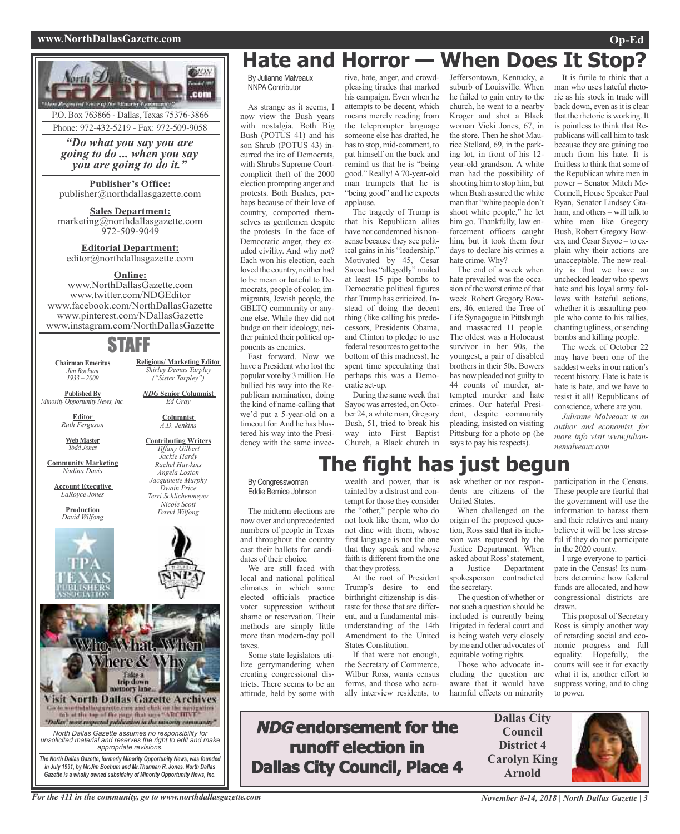#### **www.NorthDallasGazette.com Op-Ed**



Phone: 972-432-5219 - Fax: 972-509-9058

*"Do what you say you are going to do ... when you say you are going to do it."*

**Publisher's Office:** publisher@northdallasgazette.com

**Sales Department:** marketing@northdallasgazette.com 972-509-9049

**Editorial Department:** editor@northdallasgazette.com

#### **Online:**

www.NorthDallasGazette.com www.twitter.com/NDGEditor www.facebook.com/NorthDallasGazette www.pinterest.com/NDallasGazette www.instagram.com/NorthDallasGazette

### STAFF

**Chairman Emeritus** *Jim Bochum 1933 – 2009*

*NDG* **Senior Columnist** *Ed Gray* **Published By** *Minority Opportunity News, Inc.*

> **Columnist** *A.D. Jenkins*

**Contributing Writers** *Tiffany Gilbert Jackie Hardy Rachel Hawkins Angela Loston Jacquinette Murphy Dwain Price Terri Schlichenmeyer Nicole Scott David Wilfong*

**Religious/ Marketing Editor** *Shirley Demus Tarpley ("Sister Tarpley")*

**Web Master** *Todd Jones*

**Editor** *Ruth Ferguson*

**Community Marketing** *Nadina Davis*

**Account Executive** *LaRoyce Jones*

**Production** *David Wilfong*





*Gazette is a wholly owned subsidairy of Minority Opportunity News, Inc.*

## **Hate and Horror — When Does It Stop?**

By Julianne Malveaux NNPAContributor

As strange as it seems, I now view the Bush years with nostalgia. Both Big Bush (POTUS 41) and his son Shrub (POTUS 43) incurred the ire of Democrats, with Shrubs Supreme Courtcomplicit theft of the 2000 election prompting anger and protests. Both Bushes, perhaps because of their love of country, comported themselves as gentlemen despite the protests. In the face of Democratic anger, they exuded civility. And why not? Each won his election, each loved the country, neither had to be mean or hateful to Democrats, people of color, immigrants, Jewish people, the GBLTQ community or anyone else. While they did not budge on their ideology, neither painted their political opponents as enemies. Fast forward. Now we

have a President who lost the popular vote by 3 million. He bullied his way into the Republican nomination, doing the kind of name-calling that we'd put a 5-year-old on a timeout for. And he has blustered his way into the Presidency with the same invec-

By Congresswoman Eddie Bernice Johnson

The midterm elections are now over and unprecedented numbers of people in Texas and throughout the country cast their ballots for candidates of their choice.

We are still faced with local and national political climates in which some elected officials practice voter suppression without shame or reservation. Their methods are simply little more than modern-day poll taxes.

Some state legislators utilize gerrymandering when creating congressional districts. There seems to be an attitude, held by some with

tive, hate, anger, and crowdpleasing tirades that marked his campaign. Even when he attempts to be decent, which means merely reading from the teleprompter language someone else has drafted, he hasto stop, mid-comment, to pat himself on the back and remind us that he is "being good." Really!A70-year-old man trumpets that he is "being good" and he expects applause.

The tragedy of Trump is that his Republican allies have not condemned his nonsense because they see political gains in his "leadership." Motivated by 45, Cesar Sayoc has "allegedly" mailed at least 15 pipe bombs to Democratic political figures that Trump has criticized. Instead of doing the decent thing (like calling his predecessors, Presidents Obama, and Clinton to pledge to use federal resources to get to the bottom of this madness), he spent time speculating that perhaps this was a Democratic set-up.

During the same week that Sayoc was arrested, on October 24, a white man, Gregory Bush, 51, tried to break his way into First Baptist Church, a Black church in Jeffersontown, Kentucky, a suburb of Louisville. When he failed to gain entry to the church, he went to a nearby Kroger and shot a Black woman Vicki Jones, 67, in the store. Then he shot Maurice Stellard, 69, in the parking lot, in front of his 12 year-old grandson. A white man had the possibility of shooting him to stop him, but when Bush assured the white man that "white people don't shoot white people," he let him go. Thankfully, law enforcement officers caught him, but it took them four days to declare his crimes a hate crime. Why?

The end of a week when hate prevailed was the occasion of the worst crime of that week. Robert Gregory Bowers, 46, entered the Tree of Life Synagogue in Pittsburgh and massacred 11 people. The oldest was a Holocaust survivor in her 90s, the youngest, a pair of disabled brothers in their 50s. Bowers has now pleaded not guilty to 44 counts of murder, attempted murder and hate crimes. Our hateful President, despite community pleading, insisted on visiting Pittsburg for a photo op (he says to pay his respects).

#### It is futile to think that a man who uses hateful rhetoric as his stock in trade will back down, even as it is clear that the rhetoric is working. It is pointless to think that Republicans will call him to task because they are gaining too much from his hate. It is fruitless to think that some of the Republican white men in power – Senator Mitch Mc-Connell, House Speaker Paul Ryan, Senator Lindsey Graham, and others – will talk to white men like Gregory Bush, Robert Gregory Bowers, and Cesar Sayoc – to explain why their actions are unacceptable. The new reality is that we have an unchecked leader who spews hate and his loyal army follows with hateful actions whether it is assaulting people who come to his rallies, chanting ugliness, or sending bombs and killing people.

The week of October 22 may have been one of the saddest weeks in our nation's recent history. Hate is hate is hate is hate, and we have to resist it all! Republicans of conscience, where are you.

*Julianne Malveaux is an author and economist, for more info visit www.juliannemalveaux.com*

## **The fight has just begun**

wealth and power, that is tainted by a distrust and contempt for those they consider the "other," people who do not look like them, who do not dine with them, whose first language is not the one that they speak and whose faith is different from the one that they profess.

At the root of President Trump's desire to end birthright citizenship is distaste for those that are different, and a fundamental misunderstanding of the 14th Amendment to the United States Constitution.

If that were not enough, the Secretary of Commerce, Wilbur Ross, wants census forms, and those who actually interview residents, to

**NDG endorsement for the**

**runoff election in**

**Dallas City Council, Place 4**

ask whether or not respondents are citizens of the United States.

When challenged on the origin of the proposed question, Ross said that its inclusion was requested by the Justice Department. When asked about Ross'statement, a Justice Department spokesperson contradicted the secretary.

The question of whether or notsuch a question should be included is currently being litigated in federal court and is being watch very closely by me and other advocates of equitable voting rights.

Those who advocate including the question are aware that it would have harmful effects on minority participation in the Census. These people are fearful that the government will use the information to harass them and their relatives and many believe it will be less stressful if they do not participate in the 2020 county.

I urge everyone to participate in the Census! Its numbers determine how federal funds are allocated, and how congressional districts are drawn.

This proposal of Secretary Ross is simply another way of retarding social and economic progress and full equality. Hopefully, the courts will see it for exactly what it is, another effort to suppress voting, and to cling to power.

**Dallas City Council District 4 Carolyn King Arnold**

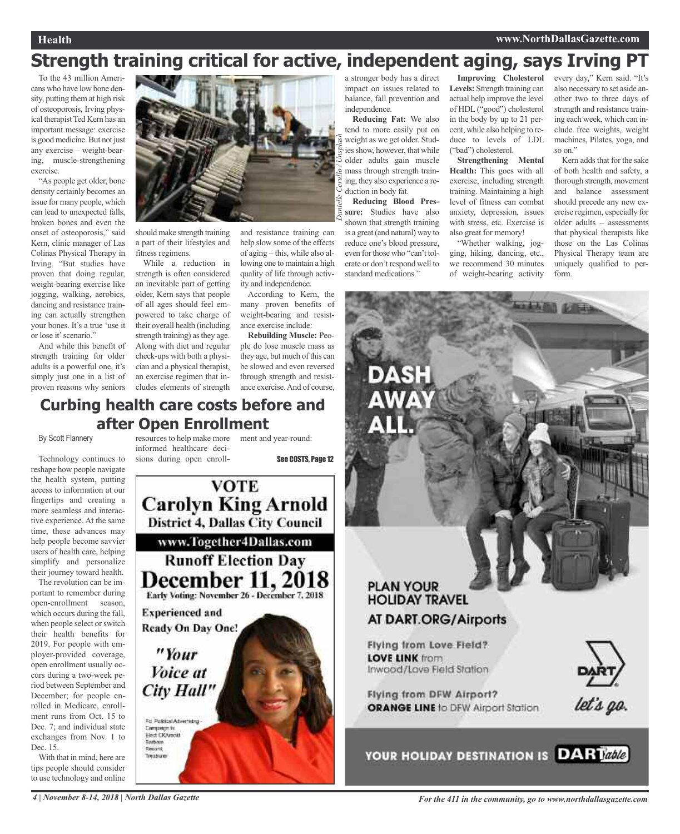#### **Health www.NorthDallasGazette.com**

## **Strength training critical for active, independent aging, says Irving PT**

To the 43 million Americans who have low bone density, putting them at high risk of osteoporosis, Irving physical therapist Ted Kern has an important message: exercise is good medicine. But not just any exercise – weight-bearing, muscle-strengthening exercise.

"As people get older, bone density certainly becomes an issue for many people, which can lead to unexpected falls, broken bones and even the onset of osteoporosis," said Kern, clinic manager of Las Colinas Physical Therapy in Irving. "But studies have proven that doing regular, weight-bearing exercise like jogging, walking, aerobics, dancing and resistance training can actually strengthen your bones. It's a true 'use it or lose it'scenario."

And while this benefit of strength training for older adults is a powerful one, it's simply just one in a list of proven reasons why seniors



should make strength training a part of their lifestyles and fitness regimens.

While a reduction in strength is often considered an inevitable part of getting older, Kern says that people of all ages should feel empowered to take charge of their overall health (including strength training) as they age. Along with diet and regular check-ups with both a physician and a physical therapist, an exercise regimen that includes elements of strength and resistance training can help slow some of the effects of aging – this, while also allowing one to maintain a high quality of life through activity and independence.

According to Kern, the many proven benefits of weight-bearing and resistance exercise include:

**Rebuilding Muscle:** People do lose muscle mass as they age, but much of this can be slowed and even reversed through strength and resistance exercise.And of course,

#### a stronger body has a direct impact on issues related to balance, fall prevention and independence.

**Reducing Fat:** We also tend to more easily put on weight as we get older. Studies show, however, that while older adults gain muscle mass through strength training, they also experience a reduction in body fat.

**Reducing Blood Pressure:** Studies have also shown that strength training is a great (and natural) way to reduce one's blood pressure, even for those who "can't tolerate or don't respond well to standard medications.'

AWA

**Improving Cholesterol Levels:** Strength training can actual help improve the level of HDL ("good") cholesterol in the body by up to 21 percent, while also helping to reduce to levels of LDL ("bad") cholesterol.

**Strengthening Mental Health:** This goes with all exercise, including strength training. Maintaining a high level of fitness can combat anxiety, depression, issues with stress, etc. Exercise is also great for memory!

"Whether walking, jogging, hiking, dancing, etc., we recommend 30 minutes of weight-bearing activity

every day," Kern said. "It's also necessary to set aside another two to three days of strength and resistance training each week, which can include free weights, weight machines, Pilates, yoga, and so on."

Kern adds that for the sake of both health and safety, a thorough strength, movement and balance assessment should precede any new exercise regimen, especially for older adults – assessments that physical therapists like those on the Las Colinas Physical Therapy team are uniquely qualified to perform.

### **Curbing health care costs before and after Open Enrollment**

By Scott Flannery

Technology continues to reshape how people navigate the health system, putting access to information at our fingertips and creating a more seamless and interactive experience. At the same time, these advances may help people become savvier users of health care, helping simplify and personalize their journey toward health.

The revolution can be important to remember during open-enrollment season, which occurs during the fall, when people select or switch their health benefits for 2019. For people with employer-provided coverage, open enrollment usually occurs during a two-week period between September and December; for people enrolled in Medicare, enrollment runs from Oct. 15 to Dec. 7; and individual state exchanges from Nov. 1 to Dec. 15.

With that in mind, here are tips people should consider to use technology and online

resources to help make more ment and year-round: informed healthcare decisions during open enroll-

See COSTS, Page 12



# **PLAN YOUR HOLIDAY TRAVEL**

### **AT DART.ORG/Airports**

Flying from Love Field? **LOVE LINK from** Inwood/Love Field Station



let's go.

**Flying from DFW Airport? ORANGE LINE to DFW Airport Station** 

YOUR HOLIDAY DESTINATION IS DARTable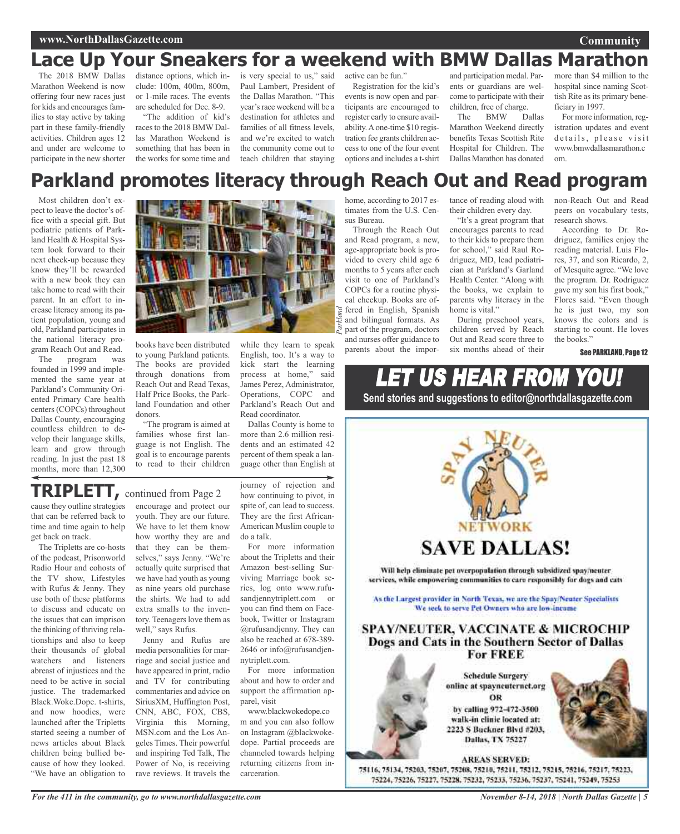## **Lace Up Your Sneakers for a weekend with BMW Dallas Marathon**

The 2018 BMW Dallas Marathon Weekend is now offering four new races just for kids and encourages families to stay active by taking part in these family-friendly activities. Children ages 12 and under are welcome to participate in the new shorter clude: 100m, 400m, 800m, or 1-mile races. The events are scheduled for Dec. 8-9.

"The addition of kid's races to the 2018 BMW Dallas Marathon Weekend is something that has been in the works for some time and

distance options, which in-is very special to us," said Paul Lambert, President of the Dallas Marathon. "This year's race weekend will be a destination for athletes and families of all fitness levels, and we're excited to watch the community come out to teach children that staying

active can be fun." Registration for the kid's

events is now open and participants are encouraged to register early to ensure availability.Aone-time \$10 registration fee grants children access to one of the four event options and includes a t-shirt and participation medal. Parents or guardians are welcome to participate with their children, free of charge.

The BMW Dallas Marathon Weekend directly benefits Texas Scottish Rite Hospital for Children. The Dallas Marathon has donated more than \$4 million to the hospital since naming Scottish Rite as its primary beneficiary in 1997.

For more information, registration updates and event details, please visit www.bmwdallasmarathon.c om.

## **Parkland promotes literacy through Reach Out and Read program**

Most children don't expect to leave the doctor's office with a special gift. But pediatric patients of Parkland Health & Hospital System look forward to their next check-up because they know they'll be rewarded with a new book they can take home to read with their parent. In an effort to increase literacy among its patient population, young and old, Parkland participates in the national literacy program Reach Out and Read.

The program was founded in 1999 and implemented the same year at Parkland's Community Oriented Primary Care health centers(COPCs) throughout Dallas County, encouraging countless children to develop their language skills, learn and grow through reading. In just the past 18 months, more than 12,300



books have been distributed to young Parkland patients. The books are provided through donations from Reach Out and Read Texas, Half Price Books, the Parkland Foundation and other donors.

"The program is aimed at families whose first language is not English. The goal is to encourage parents to read to their children

while they learn to speak English, too. It's a way to kick start the learning process at home," said James Perez, Administrator, Operations, COPC and Parkland's Reach Out and Read coordinator.

Dallas County is home to more than 2.6 million residents and an estimated 42 percent of them speak a language other than English at

### **TRIPLETT,** continued from Page <sup>2</sup>

cause they outline strategies that can be referred back to time and time again to help get back on track.

The Tripletts are co-hosts of the podcast, Prisonworld Radio Hour and cohosts of the TV show, Lifestyles with Rufus & Jenny. They use both of these platforms to discuss and educate on the issues that can imprison the thinking of thriving relationships and also to keep their thousands of global watchers and listeners abreast of injustices and the need to be active in social justice. The trademarked Black.Woke.Dope. t-shirts, and now hoodies, were launched after the Tripletts started seeing a number of news articles about Black children being bullied because of how they looked. "We have an obligation to encourage and protect our youth. They are our future. We have to let them know how worthy they are and that they can be themselves," says Jenny. "We're actually quite surprised that we have had youth as young as nine years old purchase the shirts. We had to add extra smalls to the inventory. Teenagers love them as well," says Rufus.

Jenny and Rufus are media personalities for marriage and social justice and have appeared in print, radio and TV for contributing commentaries and advice on SiriusXM, Huffington Post, CNN, ABC, FOX, CBS, Virginia this Morning, MSN.com and the Los Angeles Times. Their powerful and inspiring Ted Talk, The Power of No, is receiving rave reviews. It travels the journey of rejection and how continuing to pivot, in spite of, can lead to success. They are the first African-American Muslim couple to do a talk.

For more information about the Tripletts and their Amazon best-selling Surviving Marriage book series, log onto www.rufusandjennytriplett.com or you can find them on Facebook, Twitter or Instagram @rufusandjenny. They can also be reached at 678-389- 2646 or info@rufusandjennytriplett.com.

For more information about and how to order and support the affirmation apparel, visit

www.blackwokedope.co m and you can also follow on Instagram @blackwokedope. Partial proceeds are channeled towards helping returning citizens from incarceration.

home, according to 2017 estimates from the U.S. Census Bureau.

Through the Reach Out and Read program, a new, age-appropriate book is provided to every child age 6 months to 5 years after each visit to one of Parkland's COPCs for a routine physical checkup. Books are offered in English, Spanish and bilingual formats. As part of the program, doctors and nurses offer guidance to parents about the importance of reading aloud with their children every day.

"It's a great program that encourages parents to read to their kids to prepare them for school," said Raul Rodriguez, MD, lead pediatrician at Parkland's Garland Health Center. "Along with the books, we explain to parents why literacy in the home is vital."

During preschool years, children served by Reach Out and Read score three to six months ahead of their

non-Reach Out and Read peers on vocabulary tests, research shows.

According to Dr. Rodriguez, families enjoy the reading material. Luis Flores, 37, and son Ricardo, 2, of Mesquite agree. "We love the program. Dr. Rodriguez gave my son his first book," Flores said. "Even though he is just two, my son knows the colors and is starting to count. He loves the books."

See PARKLAND, Page 12

## LET US HEAR FROM YOU! **Send stories and suggestions to editor@northdallasgazette.com**



*November 8-14, 2018 | North Dallas Gazette | 5*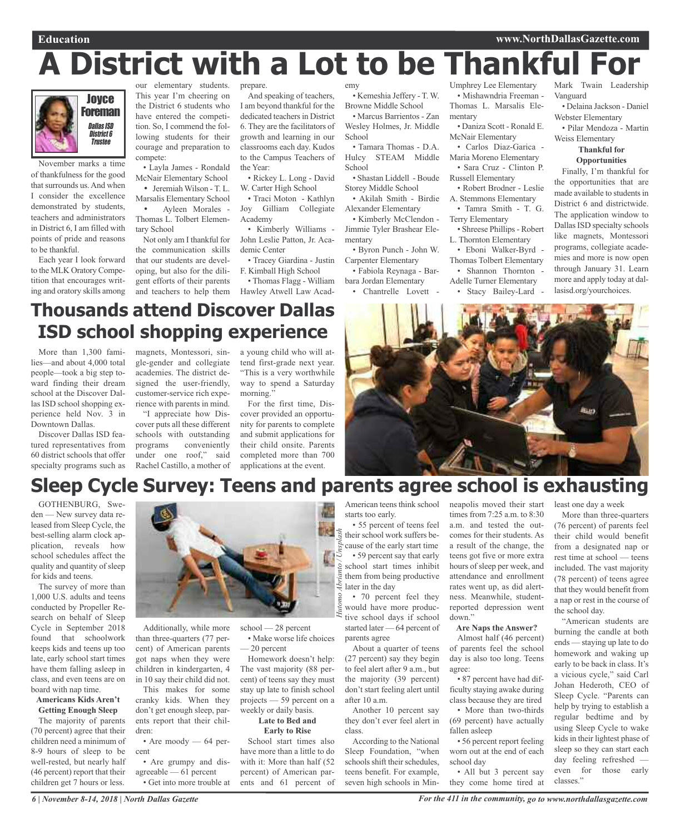# **A District with a Lot to be Thankful For**



November marks a time of thankfulness for the good that surrounds us. And when I consider the excellence demonstrated by students, teachers and administrators in District 6, I am filled with points of pride and reasons to be thankful.

Each year I look forward to the MLK Oratory Competition that encourages writing and oratory skills among

our elementary students. This year I'm cheering on the District 6 students who have entered the competition. So, I commend the following students for their courage and preparation to compete:

• Layla James - Rondald McNair Elementary School

• Jeremiah Wilson - T. L. Marsalis Elementary School • Ayleen Morales -

Thomas L. Tolbert Elementary School

Not only am I thankful for the communication skills that our students are developing, but also for the diligent efforts of their parents

prepare.

And speaking of teachers, I am beyond thankful for the dedicated teachers in District 6. They are the facilitators of growth and learning in our classrooms each day. Kudos to the Campus Teachers of the Year:

• Rickey L. Long - David W. Carter High School

• Traci Moton - Kathlyn Joy Gilliam Collegiate Academy

• Kimberly Williams - John Leslie Patton, Jr. Academic Center

• Tracey Giardina - Justin F. Kimball High School

and teachers to help them Hawley Atwell Law Acad-• Thomas Flagg - William

emy • Kemeshia Jeffery - T. W. Browne Middle School

• Marcus Barrientos - Zan Wesley Holmes, Jr. Middle School

• Tamara Thomas - D.A. Hulcy STEAM Middle School

• Shastan Liddell - Boude Storey Middle School • Akilah Smith - Birdie

Alexander Elementary

• Fabiola Reynaga - Bar-

bara Jordan Elementary • Chantrelle Lovett -

Umphrey Lee Elementary • Mishawndria Freeman - Thomas L. Marsalis Elementary

• Daniza Scott - Ronald E. McNair Elementary

• Carlos Diaz-Garica - Maria Moreno Elementary

• Sara Cruz - Clinton P.

Russell Elementary • Robert Brodner - Leslie

A. Stemmons Elementary

• Tamra Smith - T. G. Terry Elementary

• Shreese Phillips- Robert L. Thornton Elementary

• Eboni Walker-Byrd

Thomas Tolbert Elementary

• Shannon Thornton -

Adelle Turner Elementary

• Stacy Bailey-Lard -

Mark Twain Leadership Vanguard

• Delaina Jackson - Daniel Webster Elementary

• Pilar Mendoza - Martin Weiss Elementary

#### **Thankful for Opportunities**

Finally, I'm thankful for the opportunities that are made available to students in District 6 and districtwide. The application window to Dallas ISD specialty schools like magnets, Montessori programs, collegiate academies and more is now open through January 31. Learn more and apply today at dallasisd.org/yourchoices.

## **Thousands attend Discover Dallas ISD school shopping experience**

More than 1,300 families—and about 4,000 total people—took a big step toward finding their dream school at the Discover Dallas ISD school shopping experience held Nov. 3 in Downtown Dallas.

Discover Dallas ISD featured representatives from 60 district schools that offer specialty programs such as

magnets, Montessori, sin-a young child who will atgle-gender and collegiate academies. The district designed the user-friendly, customer-service rich experience with parents in mind.

"I appreciate how Discover puts all these different schools with outstanding programs conveniently under one roof," said Rachel Castillo, a mother of tend first-grade next year. "This is a very worthwhile way to spend a Saturday morning.'

For the first time, Discover provided an opportunity for parents to complete and submit applications for their child onsite. Parents completed more than 700 applications at the event.



## **Sleep Cycle Survey: Teens and parents agree school is exhausting**

GOTHENBURG, Sweden — New survey data released from Sleep Cycle, the best-selling alarm clock application, reveals how school schedules affect the quality and quantity of sleep for kids and teens.

The survey of more than 1,000 U.S. adults and teens conducted by Propeller Research on behalf of Sleep Cycle in September 2018 found that schoolwork keeps kids and teens up too late, early school start times have them falling asleep in class, and even teens are on board with nap time.

#### **Americans Kids Aren't Getting Enough Sleep**

The majority of parents (70 percent) agree that their children need a minimum of 8-9 hours of sleep to be well-rested, but nearly half (46 percent) report that their children get 7 hours or less.



Additionally, while more than three-quarters (77 percent) of American parents got naps when they were children in kindergarten, 4 in 10 say their child did not.

This makes for some cranky kids. When they don't get enough sleep, parents report that their children:

• Are moody — 64 percent

#### • Are grumpy and disagreeable — 61 percent

• Get into more trouble at

school — 28 percent *Hutomo Abrianto / Unsplash*

• Make worse life choices — 20 percent

Homework doesn't help: The vast majority (88 percent) of teens say they must stay up late to finish school projects — 59 percent on a weekly or daily basis.

#### **Late to Bed and Early to Rise**

School start times also have more than a little to do with it: More than half (52 percent) of American parents and 61 percent of

• 55 percent of teens feel their school work suffers because of the early start time • 59 percent say that early school start times inhibit them from being productive later in the day

starts too early.

• 70 percent feel they would have more productive school days if school started later — 64 percent of parents agree

About a quarter of teens (27 percent) say they begin to feel alert after 9 a.m., but the majority (39 percent) don't start feeling alert until after 10 a.m.

Another 10 percent say they don't ever feel alert in class.

According to the National Sleep Foundation, "when schools shift their schedules, teens benefit. For example, seven high schools in Min-

American teens think school neapolis moved their start times from 7:25 a.m. to 8:30 a.m. and tested the outcomes for their students. As a result of the change, the teens got five or more extra hours of sleep per week, and attendance and enrollment rates went up, as did alertness. Meanwhile, studentreported depression went down."

#### **Are Naps the Answer?**

Almost half (46 percent) of parents feel the school day is also too long. Teens agree:

• 87 percent have had difficulty staying awake during class because they are tired • More than two-thirds (69 percent) have actually fallen asleep

• 56 percent report feeling worn out at the end of each school day

• All but 3 percent say they come home tired at least one day a week

More than three-quarters (76 percent) of parents feel their child would benefit from a designated nap or rest time at school — teens included. The vast majority (78 percent) of teens agree that they would benefit from a nap or rest in the course of the school day.

"American students are burning the candle at both ends — staying up late to do homework and waking up early to be back in class. It's a vicious cycle," said Carl Johan Hederoth, CEO of Sleep Cycle. "Parents can help by trying to establish a regular bedtime and by using Sleep Cycle to wake kids in their lightest phase of sleep so they can start each day feeling refreshed even for those early classes."

• Kimberly McClendon - Jimmie Tyler Brashear Elementary • Byron Punch - John W. Carpenter Elementary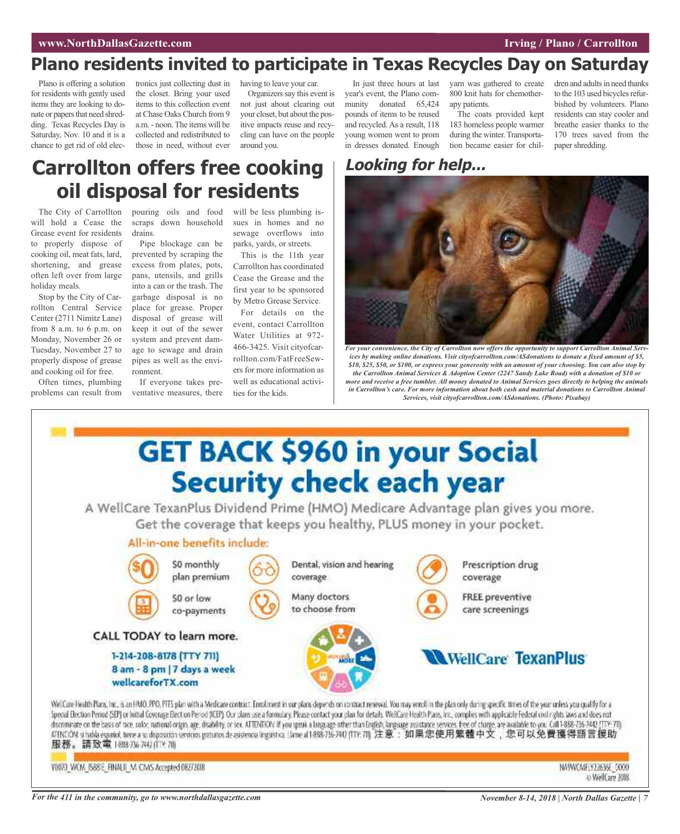### **Plano residents invited to participate in Texas Recycles Day on Saturday**

Plano is offering a solution for residents with gently used items they are looking to donate or papers that need shredding. Texas Recycles Day is Saturday, Nov. 10 and it is a chance to get rid of old electronics just collecting dust in the closet. Bring your used items to this collection event at Chase Oaks Church from 9 a.m. - noon.The items will be collected and redistributed to those in need, without ever

having to leave your car. Organizers say this event is not just about clearing out your closet, but about the pos-

itive impacts reuse and recycling can have on the people

around you.

In just three hours at last year's event, the Plano community donated 65,424 pounds of items to be reused and recycled. As a result, 118 young women went to prom in dresses donated. Enough

yarn was gathered to create 800 knit hats for chemotherapy patients.

The coats provided kept 183 homeless people warmer during the winter. Transportation became easier for children and adults in need thanks to the 103 used bicycles refurbished by volunteers. Plano residents can stay cooler and breathe easier thanks to the 170 trees saved from the paper shredding.

## **Carrollton offers free cooking oil disposal for residents**

The City of Carrollton will hold a Cease the Grease event for residents to properly dispose of cooking oil, meat fats, lard, shortening, and grease often left over from large holiday meals.

Stop by the City of Carrollton Central Service Center (2711 Nimitz Lane) from 8 a.m. to 6 p.m. on Monday, November 26 or Tuesday, November 27 to properly dispose of grease and cooking oil for free.

Often times, plumbing

pouring oils and food scraps down household drains.

Pipe blockage can be prevented by scraping the excess from plates, pots, pans, utensils, and grills into a can or the trash. The garbage disposal is no place for grease. Proper disposal of grease will keep it out of the sewer system and prevent damage to sewage and drain pipes as well as the environment.

problems can result from ventative measures, there If everyone takes prewill be less plumbing issues in homes and no sewage overflows into parks, yards, or streets.

This is the 11th year Carrollton has coordinated Cease the Grease and the first year to be sponsored by Metro Grease Service.

For details on the event, contact Carrollton Water Utilities at 972- 466-3425. Visit cityofcarrollton.com/FatFreeSewers for more information as well as educational activities for the kids.

## **Looking for help...**



*For your convenience, the City of Carrollton now offers the opportunity to support Carrollton Animal Services by making online donations. Visit cityofcarrollton.com/ASdonations to donate a fixed amount of \$5,* \$10, \$25, \$50, or \$100, or express your generosity with an amount of your choosing. You can also stop by *the Carrollton Animal Services & Adoption Center (2247 Sandy Lake Road) with a donation of \$10 or* more and receive a free tumbler. All money donated to Animal Services goes directly to helping the animals *in Carrollton's care. For more information about both cash and material donations to Carrollton Animal Services, visit cityofcarrollton.com/ASdonations. (Photo: Pixabay)*



Y0073 WCM IS881E FINALS M CMS Accepted 08272018

NA9WCA#1Y22636E 0000 o WelCare 2018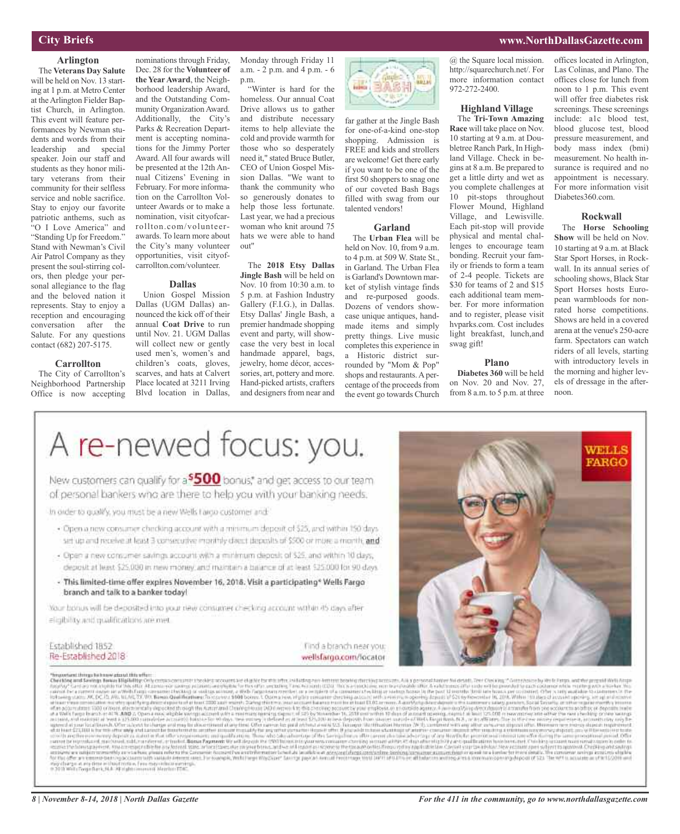#### **City Briefs**

#### **Arlington**

The **Veterans Day Salute** will be held on Nov. 13 starting at 1 p.m. at Metro Center at theArlington Fielder Baptist Church, in Arlington. This event will feature performances by Newman students and words from their leadership and special speaker. Join our staff and students as they honor military veterans from their community for their selfless service and noble sacrifice. Stay to enjoy our favorite patriotic anthems, such as "O I Love America" and "Standing Up for Freedom." Stand with Newman's Civil Air Patrol Company as they present the soul-stirring colors, then pledge your personal allegiance to the flag and the beloved nation it represents. Stay to enjoy a reception and encouraging conversation after the Salute. For any questions contact (682) 207-5175.

#### **Carrollton**

The City of Carrollton's Neighborhood Partnership Office is now accepting

nominations through Friday, Dec. 28 for the **Volunteer of the YearAward**, the Neighborhood leadership Award, and the Outstanding Community OrganizationAward. Additionally, the City's Parks & Recreation Department is accepting nominations for the Jimmy Porter Award. All four awards will be presented at the 12th Annual Citizens' Evening in February. For more information on the Carrollton Volunteer Awards or to make a nomination, visit cityofcarrollton.com/volunteerawards. To learn more about the City's many volunteer opportunities, visit cityofcarrollton.com/volunteer.

#### **Dallas**

Union Gospel Mission Dallas (UGM Dallas) announced the kick off of their annual **Coat Drive** to run until Nov. 21. UGM Dallas will collect new or gently used men's, women's and children's coats, gloves, scarves, and hats at Calvert

Monday through Friday 11 a.m. - 2 p.m. and 4 p.m. - 6 p.m.

"Winter is hard for the homeless. Our annual Coat Drive allows us to gather and distribute necessary items to help alleviate the cold and provide warmth for those who so desperately need it," stated Bruce Butler, CEO of Union Gospel Mission Dallas. "We want to thank the community who so generously donates to help those less fortunate. Last year, we had a precious woman who knit around 75 hats we were able to hand out"

The **2018 Etsy Dallas Jingle Bash** will be held on Nov. 10 from 10:30 a.m. to 5 p.m. at Fashion Industry Gallery (F.I.G.), in Dallas. Etsy Dallas' Jingle Bash, a premier handmade shopping event and party, will showcase the very best in local handmade apparel, bags, jewelry, home décor, accessories, art, pottery and more.



far gather at the Jingle Bash for one-of-a-kind one-stop shopping. Admission is FREE and kids and strollers are welcome! Get there early if you want to be one of the first 50 shoppers to snag one of our coveted Bash Bags filled with swag from our talented vendors!

#### **Garland**

The **Urban Flea** will be held on Nov. 10, from 9 a.m. to 4 p.m. at 509 W. State St., in Garland. The Urban Flea is Garland's Downtown market of stylish vintage finds and re-purposed goods. Dozens of vendors showcase unique antiques, handmade items and simply pretty things. Live music completes this experience in a Historic district surrounded by "Mom & Pop" shops and restaurants. A percentage of the proceeds from the event go towards Church

@ the Square local mission. http://squarechurch.net/. For more information contact 972-272-2400.

#### **Highland Village**

The **Tri-Town Amazing Race** will take place on Nov. 10 starting at 9 a.m. at Doubletree Ranch Park, In Highland Village. Check in begins at 8 a.m. Be prepared to get a little dirty and wet as you complete challenges at 10 pit-stops throughout Flower Mound, Highland Village, and Lewisville. Each pit-stop will provide physical and mental challenges to encourage team bonding. Recruit your family or friends to form a team of 2-4 people. Tickets are \$30 for teams of 2 and \$15 each additional team member. For more information and to register, please visit hvparks.com. Cost includes light breakfast, lunch,and swag gift!

#### **Plano**

**Diabetes 360** will be held on Nov. 20 and Nov. 27, from 8 a.m. to 5 p.m. at three

offices located in Arlington, Las Colinas, and Plano. The offices close for lunch from noon to 1 p.m. This event will offer free diabetes risk screenings. These screenings include: a1c blood test, blood glucose test, blood pressure measurement, and body mass index (bmi) measurement. No health insurance is required and no appointment is necessary. For more information visit Diabetes360.com.

#### **Rockwall**

The **Horse Schooling Show** will be held on Nov. 10 starting at 9 a.m. at Black Star Sport Horses, in Rockwall. In its annual series of schooling shows, Black Star Sport Horses hosts European warmbloods for nonrated horse competitions. Shows are held in a covered arena at the venue's 250-acre farm. Spectators can watch riders of all levels, starting with introductory levels in the morning and higher levels of dressage in the afternoon.

> WELLS **FARGO**

#### Place located at 3211 Irving Blvd location in Dallas, Hand-picked artists, crafters and designers from near and



New customers can qualify for a<sup>\$500</sup> bonus," and get access to our team of personal bankers who are there to help you with your banking needs.

In order to qualify, you must be a new Wells I argo customer and

- · Open a new consumer checking account with a minimum deposit of \$25, and within 150 days set up and receive at least 3 consecutive monthly client deposits of \$500 or more a month, and
- Open a new consumer savings account with a minimum deposit of \$25, and within 10 days, deposit at least \$25,000 in new money, and maintain a balance of at least \$25,000 for 90 days.
- This limited-time offer expires November 16, 2018. Visit a participating\* Wells Fargo branch and talk to a banker today!

Your bonus will be deposited into your riew consumer checking account within 45 days after eligibility and qualifications are met

Established 1852 Re-Established 2018

Find a branch near you: wellsfargo.com/locator

The main into be the High state of the second into the second into the second into the second into the second into the second into the second into the second into the second into the second into the second into the second

#### **www.NorthDallasGazette.com**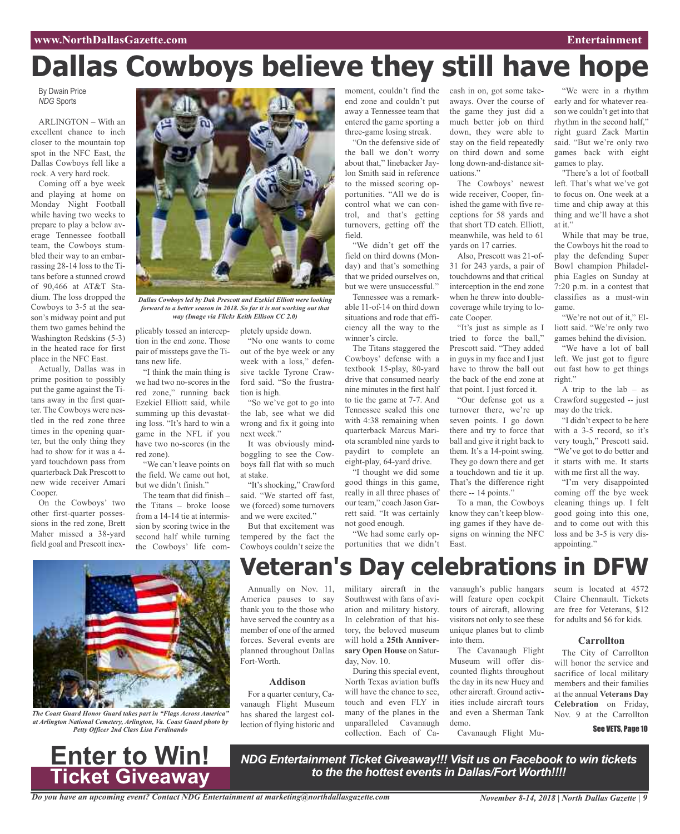#### **www.NorthDallasGazette.com Entertainment**

# **Dallas Cowboys believe they still have hope**

By Dwain Price *NDG* Sports

ARLINGTON – With an excellent chance to inch closer to the mountain top spot in the NFC East, the Dallas Cowboys fell like a rock. A very hard rock.

Coming off a bye week and playing at home on Monday Night Football while having two weeks to prepare to play a below average Tennessee football team, the Cowboys stumbled their way to an embarrassing 28-14 loss to the Titans before a stunned crowd of 90,466 at AT&T Stadium. The loss dropped the Cowboys to 3-5 at the season's midway point and put them two games behind the Washington Redskins (5-3) in the heated race for first place in the NFC East.

Actually, Dallas was in prime position to possibly put the game against the Titans away in the first quarter. The Cowboys were nestled in the red zone three times in the opening quarter, but the only thing they had to show for it was a 4 yard touchdown pass from quarterback Dak Prescott to new wide receiver Amari Cooper.

On the Cowboys' two other first-quarter possessions in the red zone, Brett Maher missed a 38-yard field goal and Prescott inex-



*Dallas Cowboys led by Dak Prescott and Ezekiel Elliott were looking forward to a better season in 2018. So far it is not working out that way (Image via Flickr Keith Ellison CC 2.0)*

pletely upside down.

tion is high.

next week."

at stake.

"No one wants to come out of the bye week or any week with a loss," defensive tackle Tyrone Crawford said. "So the frustra-

"So we've got to go into the lab, see what we did wrong and fix it going into

It was obviously mindboggling to see the Cowboys fall flat with so much

"It's shocking," Crawford said. "We started off fast, we (forced) some turnovers and we were excited." But that excitement was tempered by the fact the Cowboys couldn't seize the

plicably tossed an interception in the end zone. Those pair of missteps gave the Titans new life.

"I think the main thing is we had two no-scores in the red zone," running back Ezekiel Elliott said, while summing up this devastating loss. "It's hard to win a game in the NFL if you have two no-scores (in the red zone).

"We can't leave points on the field. We came out hot, but we didn't finish'

The team that did finish – the Titans – broke loose from a 14-14 tie at intermission by scoring twice in the second half while turning the Cowboys' life com-



*The Coast Guard Honor Guard takes part in "Flags Across America" at Arlington National Cemetery, Arlington, Va. Coast Guard photo by Petty Officer 2nd Class Lisa Ferdinando*



moment, couldn't find the cash in on, got some takeend zone and couldn't put away a Tennessee team that entered the game sporting a three-game losing streak.

"On the defensive side of the ball we don't worry about that," linebacker Jaylon Smith said in reference to the missed scoring opportunities. "All we do is control what we can control, and that's getting turnovers, getting off the field.

"We didn't get off the field on third downs (Monday) and that's something that we prided ourselves on, but we were unsuccessful."

Tennessee was a remarkable 11-of-14 on third down situations and rode that efficiency all the way to the winner's circle.

The Titans staggered the Cowboys' defense with a textbook 15-play, 80-yard drive that consumed nearly nine minutes in the first half to tie the game at 7-7. And Tennessee sealed this one with 4:38 remaining when quarterback Marcus Mariota scrambled nine yards to paydirt to complete an eight-play, 64-yard drive.

"I thought we did some good things in this game, really in all three phases of our team," coach Jason Garrett said. "It was certainly not good enough.

"We had some early opportunities that we didn't aways. Over the course of the game they just did a much better job on third down, they were able to stay on the field repeatedly on third down and some long down-and-distance situations."

The Cowboys' newest wide receiver, Cooper, finished the game with five receptions for 58 yards and that short TD catch. Elliott, meanwhile, was held to 61 yards on 17 carries.

Also, Prescott was 21-of-31 for 243 yards, a pair of touchdowns and that critical interception in the end zone when he threw into doublecoverage while trying to locate Cooper.

"It's just as simple as I tried to force the ball," Prescott said. "They added in guys in my face and I just have to throw the ball out the back of the end zone at that point. I just forced it.

"Our defense got us a turnover there, we're up seven points. I go down there and try to force that ball and give it right back to them. It's a 14-point swing. They go down there and get a touchdown and tie it up. That's the difference right there -- 14 points."

To a man, the Cowboys know they can't keep blowing games if they have designs on winning the NFC East.

"We were in a rhythm early and for whatever reason we couldn't get into that rhythm in the second half," right guard Zack Martin said. "But we're only two games back with eight games to play.

"There's a lot of football left. That's what we've got to focus on. One week at a time and chip away at this thing and we'll have a shot at it."

While that may be true, the Cowboys hit the road to play the defending Super Bowl champion Philadelphia Eagles on Sunday at 7:20 p.m. in a contest that classifies as a must-win game.

"We're not out of it," Elliott said. "We're only two games behind the division.

"We have a lot of ball left. We just got to figure out fast how to get things right."

A trip to the  $lab - as$ Crawford suggested -- just may do the trick.

"I didn't expect to be here with a 3-5 record, so it's very tough," Prescott said. "We've got to do better and it starts with me. It starts with me first all the way.

"I'm very disappointed coming off the bye week cleaning things up. I felt good going into this one, and to come out with this loss and be 3-5 is very disappointing."

## **Veteran's Day celebrations in DFW**

Annually on Nov. 11, America pauses to say thank you to the those who have served the country as a member of one of the armed forces. Several events are planned throughout Dallas Fort-Worth.

#### **Addison**

For a quarter century, Cavanaugh Flight Museum has shared the largest collection of flying historic and

military aircraft in the Southwest with fans of aviation and military history. In celebration of that history, the beloved museum will hold a **25th Anniversary Open House** on Saturday, Nov. 10.

During this special event, North Texas aviation buffs will have the chance to see, touch and even FLY in many of the planes in the unparalleled Cavanaugh collection. Each of Cavanaugh's public hangars will feature open cockpit tours of aircraft, allowing visitors not only to see these unique planes but to climb into them.

The Cavanaugh Flight Museum will offer discounted flights throughout the day in its new Huey and other aircraft. Ground activities include aircraft tours and even a Sherman Tank demo.

Cavanaugh Flight Mu-

seum is located at 4572 Claire Chennault. Tickets are free for Veterans, \$12 for adults and \$6 for kids.

#### **Carrollton**

The City of Carrollton will honor the service and sacrifice of local military members and their families at the annual **Veterans Day Celebration** on Friday, Nov. 9 at the Carrollton

See VETS, Page 10

*NDG Entertainment Ticket Giveaway!!! Visit us on Facebook to win tickets to the the hottest events in Dallas/Fort Worth!!!!*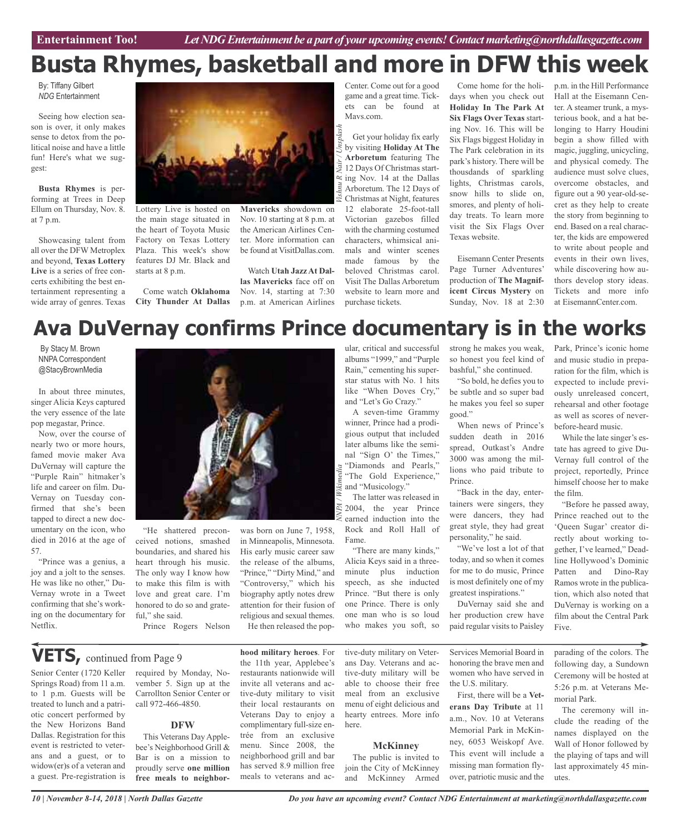## **Busta Rhymes, basketball and more in DFW this week**

*Nair / Unsplash*

By: Tiffany Gilbert *NDG* Entertainment

Seeing how election season is over, it only makes sense to detox from the political noise and have a little fun! Here's what we suggest:

**Busta Rhymes** is performing at Trees in Deep Ellum on Thursday, Nov. 8. at 7 p.m.

Showcasing talent from all over the DFW Metroplex and beyond, **Texas Lottery Live** is a series of free concerts exhibiting the best entertainment representing a wide array of genres. Texas



Lottery Live is hosted on the main stage situated in the heart of Toyota Music Factory on Texas Lottery Plaza. This week's show features DJ Mr. Black and starts at 8 p.m.

Come watch **Oklahoma City Thunder At Dallas**

**Mavericks** showdown on Nov. 10 starting at 8 p.m. at the American Airlines Center. More information can be found at VisitDallas.com.

Watch **Utah Jazz At Dallas Mavericks** face off on Nov. 14, starting at 7:30 p.m. at American Airlines

Center. Come out for a good game and a great time. Tickets can be found at Mavs.com.

Get your holiday fix early by visiting **Holiday At The Arboretum** featuring The 12 Days Of Christmas starting Nov. 14 at the Dallas Arboretum. The 12 Days of Christmas at Night, features 12 elaborate 25-foot-tall Victorian gazebos filled with the charming costumed characters, whimsical animals and winter scenes made famous by the beloved Christmas carol. Visit The Dallas Arboretum website to learn more and purchase tickets.

Come home for the holidays when you check out **Holiday In The Park At Six Flags Over Texas** starting Nov. 16. This will be Six Flags biggest Holiday in The Park celebration in its park's history. There will be thousdands of sparkling lights, Christmas carols, snow hills to slide on, smores, and plenty of holiday treats. To learn more visit the Six Flags Over Texas website.

Eisemann Center Presents Page Turner Adventures' production of **The Magnificent Circus Mystery** on Sunday, Nov. 18 at 2:30

p.m. in the Hill Performance Hall at the Eisemann Center. A steamer trunk, a mysterious book, and a hat belonging to Harry Houdini begin a show filled with magic, juggling, unicycling, and physical comedy. The audience must solve clues, overcome obstacles, and figure out a 90 year-old-secret as they help to create the story from beginning to end. Based on a real character, the kids are empowered to write about people and events in their own lives, while discovering how authors develop story ideas. Tickets and more info at EisemannCenter.com.

## **Ava DuVernay confirms Prince documentary is in the works**

By Stacy M. Brown NNPA Correspondent @StacyBrownMedia

In about three minutes, singer Alicia Keys captured the very essence of the late pop megastar, Prince.

Now, over the course of nearly two or more hours, famed movie maker Ava DuVernay will capture the "Purple Rain" hitmaker's life and career on film. Du-Vernay on Tuesday confirmed that she's been tapped to direct a new documentary on the icon, who died in 2016 at the age of 57.

"Prince was a genius, a joy and a jolt to the senses. He was like no other," Du-Vernay wrote in a Tweet confirming that she's working on the documentary for Netflix.

Senior Center (1720 Keller



"He shattered preconceived notions, smashed boundaries, and shared his heart through his music. The only way I know how to make this film is with love and great care. I'm honored to do so and grateful," she said.

Prince Rogers Nelson

was born on June 7, 1958, in Minneapolis, Minnesota. His early music career saw the release of the albums, "Prince," "Dirty Mind," and "Controversy," which his biography aptly notes drew attention for their fusion of religious and sexual themes. He then released the popular, critical and successful albums "1999," and "Purple Rain," cementing his superstar status with No. 1 hits like "When Doves Cry," and "Let's Go Crazy."

A seven-time Grammy winner, Prince had a prodigious output that included later albums like the seminal "Sign O' the Times," "Diamonds and Pearls," "The Gold Experience,"  $\approx$  and "Musicology."

The latter was released in 2004, the year Prince earned induction into the Rock and Roll Hall of Fame.

"There are many kinds," Alicia Keys said in a threeminute plus induction speech, as she inducted Prince. "But there is only one Prince. There is only one man who is so loud who makes you soft, so

strong he makes you weak, so honest you feel kind of bashful," she continued.

"So bold, he defies you to be subtle and so super bad he makes you feel so super good."

When news of Prince's sudden death in 2016 spread, Outkast's Andre 3000 was among the millions who paid tribute to Prince.

"Back in the day, entertainers were singers, they were dancers, they had great style, they had great personality," he said.

"We've lost a lot of that today, and so when it comes for me to do music, Prince is most definitely one of my greatest inspirations."

DuVernay said she and her production crew have paid regular visits to Paisley

Services Memorial Board in honoring the brave men and women who have served in the U.S. military.

First, there will be a **Veterans Day Tribute** at 11 a.m., Nov. 10 at Veterans Memorial Park in McKinney, 6053 Weiskopf Ave. This event will include a missing man formation flyover, patriotic music and the Five. parading of the colors. The following day, a Sundown Ceremony will be hosted at

5:26 p.m. at Veterans Memorial Park.

The ceremony will include the reading of the names displayed on the Wall of Honor followed by the playing of taps and will last approximately 45 minutes.

**VETS,** continued from Page <sup>9</sup>

treated to lunch and a patriotic concert performed by the New Horizons Band Dallas. Registration for this event is restricted to veterans and a guest, or to widow(er)s of a veteran and a guest. Pre-registration is

required by Monday, November 5. Sign up at the Carrollton Senior Center or call 972-466-4850.

#### **DFW**

This Veterans Day Applebee's Neighborhood Grill & Bar is on a mission to proudly serve **one million free meals to neighbor-**

**hood military heroes**. For the 11th year, Applebee's restaurants nationwide will invite all veterans and active-duty military to visit their local restaurants on Veterans Day to enjoy a complimentary full-size entrée from an exclusive menu. Since 2008, the neighborhood grill and bar has served 8.9 million free meals to veterans and active-duty military on Veterans Day. Veterans and active-duty military will be able to choose their free meal from an exclusive menu of eight delicious and hearty entrees. More info here.

#### **McKinney**

The public is invited to join the City of McKinney and McKinney Armed

*10 | November 8-14, 2018 | North Dallas Gazette*

Park, Prince's iconic home and music studio in preparation for the film, which is expected to include previously unreleased concert, rehearsal and other footage as well as scores of neverbefore-heard music.

While the late singer's estate has agreed to give Du-Vernay full control of the project, reportedly, Prince himself choose her to make the film.

"Before he passed away, Prince reached out to the 'Queen Sugar' creator directly about working together, I've learned," Deadline Hollywood's Dominic Patten and Dino-Ray Ramos wrote in the publication, which also noted that DuVernay is working on a film about the Central Park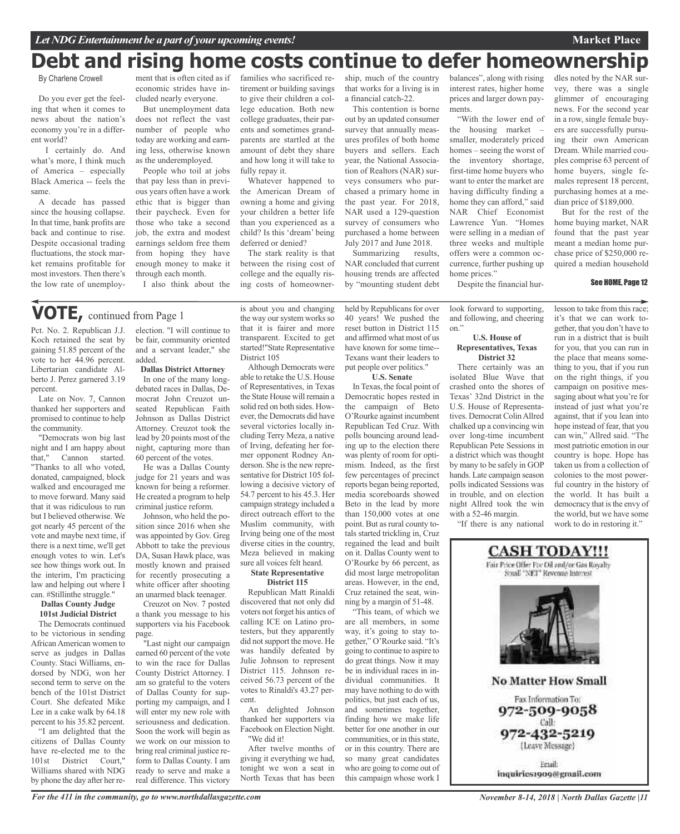## **Debt and rising home costs continue to defer homeownership**

By Charlene Crowell

Do you ever get the feeling that when it comes to news about the nation's economy you're in a different world?

I certainly do. And what's more, I think much of America – especially Black America -- feels the same.

A decade has passed since the housing collapse. In that time, bank profits are back and continue to rise. Despite occasional trading fluctuations, the stock market remains profitable for most investors. Then there's the low rate of unemploy-

ment that is often cited as if economic strides have included nearly everyone.

But unemployment data does not reflect the vast number of people who today are working and earning less, otherwise known as the underemployed.

People who toil at jobs that pay less than in previous years often have a work ethic that is bigger than their paycheck. Even for those who take a second job, the extra and modest earnings seldom free them from hoping they have enough money to make it through each month.

I also think about the

### **VOTE,** continued from Page <sup>1</sup>

Pct. No. 2. Republican J.J. Koch retained the seat by gaining 51.85 percent of the vote to her 44.96 percent. Libertarian candidate Alberto J. Perez garnered 3.19 percent.

Late on Nov. 7, Cannon thanked her supporters and promised to continue to help the community.

"Democrats won big last night and I am happy about that," Cannon started. "Thanks to all who voted, donated, campaigned, block walked and encouraged me to move forward. Many said that it was ridiculous to run but I believed otherwise. We got nearly 45 percent of the vote and maybe next time, if there is a next time, we'll get enough votes to win. Let's see how things work out. In the interim, I'm practicing law and helping out where I can. #Stillinthe struggle."

#### **Dallas County Judge 101st Judicial District**

The Democrats continued to be victorious in sending AfricanAmerican women to serve as judges in Dallas County. Staci Williams, endorsed by NDG, won her second term to serve on the bench of the 101st District Court. She defeated Mike Lee in a cake walk by 64.18 percent to his 35.82 percent. "I am delighted that the citizens of Dallas County have re-elected me to the 101st District Court," Williams shared with NDG by phone the day after her reelection. "I will continue to be fair, community oriented and a servant leader," she added.

**Dallas District Attorney** In one of the many longdebated races in Dallas, Democrat John Creuzot unseated Republican Faith Johnson as Dallas District Attorney. Creuzot took the lead by 20 points most of the night, capturing more than 60 percent of the votes.

He was a Dallas County judge for 21 years and was known for being a reformer. He created a program to help criminal justice reform.

Johnson, who held the position since 2016 when she was appointed by Gov. Greg Abbott to take the previous DA, Susan Hawk place, was mostly known and praised for recently prosecuting a white officer after shooting an unarmed black teenager.

Creuzot on Nov. 7 posted a thank you message to his supporters via his Facebook page.

"Last night our campaign earned 60 percent of the vote to win the race for Dallas County District Attorney. I am so grateful to the voters of Dallas County for supporting my campaign, and I will enter my new role with seriousness and dedication. Soon the work will begin as we work on our mission to bring real criminal justice reform to Dallas County. I am ready to serve and make a real difference. This victory

is about you and changing the way our system works so that it is fairer and more transparent. Excited to get started!"State Representative District 105

families who sacrificed retirement or building savings to give their children a college education. Both new college graduates, their parents and sometimes grandparents are startled at the amount of debt they share and how long it will take to

Whatever happened to the American Dream of owning a home and giving your children a better life than you experienced as a child? Is this 'dream' being deferred or denied?

The stark reality is that between the rising cost of college and the equally rising costs of homeowner-

fully repay it.

Although Democrats were able to retake the U.S. House of Representatives, in Texas the State House will remain a solid red on both sides. However, the Democrats did have several victories locally including Terry Meza, a native of Irving, defeating her former opponent Rodney Anderson. She is the new representative for District 105 following a decisive victory of 54.7 percent to his 45.3. Her campaign strategy included a direct outreach effort to the Muslim community, with Irving being one of the most diverse cities in the country, Meza believed in making sure all voices felt heard. **State Representative**

#### **District 115**

Republican Matt Rinaldi discovered that not only did voters not forget his antics of calling ICE on Latino protesters, but they apparently did not support the move. He was handily defeated by Julie Johnson to represent District 115. Johnson received 56.73 percent of the votes to Rinaldi's 43.27 percent.

An delighted Johnson thanked her supporters via Facebook on Election Night. "We did it!

After twelve months of giving it everything we had, tonight we won a seat in North Texas that has been

ship, much of the country that works for a living is in a financial catch-22.

This contention is borne out by an updated consumer survey that annually measures profiles of both home buyers and sellers. Each year, the National Association of Realtors (NAR) surveys consumers who purchased a primary home in the past year. For 2018, NAR used a 129-question survey of consumers who purchased a home between July 2017 and June 2018.

Summarizing results, NAR concluded that current housing trends are affected by "mounting student debt

held by Republicans for over 40 years! We pushed the reset button in District 115 and affirmed what most of us have known for some time-- Texans want their leaders to put people over politics." **U.S. Senate** In Texas, the focal point of Democratic hopes rested in the campaign of Beto O'Rourke against incumbent Republican Ted Cruz. With polls bouncing around leading up to the election there was plenty of room for optimism. Indeed, as the first few percentages of precinct reports began being reported, media scoreboards showed Beto in the lead by more than 150,000 votes at one point. But as rural county totals started trickling in, Cruz regained the lead and built on it. Dallas County went to O'Rourke by 66 percent, as did most large metropolitan areas. However, in the end, Cruz retained the seat, winning by a margin of 51-48. "This team, of which we are all members, in some way, it's going to stay together," O'Rourke said. "It's going to continue to aspire to do great things. Now it may be in individual races in individual communities. It may have nothing to do with politics, but just each of us, and sometimes together, finding how we make life better for one another in our communities, or in this state, or in this country. There are so many great candidates who are going to come out of this campaign whose work I

balances", along with rising interest rates, higher home prices and larger down payments.

"With the lower end of the housing market – smaller, moderately priced homes – seeing the worst of the inventory shortage, first-time home buyers who want to enter the market are having difficulty finding a home they can afford," said NAR Chief Economist Lawrence Yun. "Homes were selling in a median of three weeks and multiple offers were a common occurrence, further pushing up home prices." Despite the financial hurdles noted by the NAR survey, there was a single glimmer of encouraging news. For the second year in a row, single female buyers are successfully pursuing their own American Dream. While married couples comprise 63 percent of home buyers, single females represent 18 percent, purchasing homes at a median price of \$189,000.

But for the rest of the home buying market, NAR found that the past year meant a median home purchase price of \$250,000 required a median household

#### See HOME, Page 12

look forward to supporting, and following, and cheering

#### **U.S. House of Representatives, Texas District 32**

on."

There certainly was an isolated Blue Wave that crashed onto the shores of Texas' 32nd District in the U.S. House of Representatives. Democrat ColinAllred chalked up a convincing win over long-time incumbent Republican Pete Sessions in a district which was thought by many to be safely in GOP hands. Late campaign season polls indicated Sessions was in trouble, and on election night Allred took the win with a 52-46 margin.

"If there is any national

lesson to take from this race; it's that we can work together, that you don't have to run in a district that is built for you, that you can run in the place that means something to you, that if you run on the right things, if you campaign on positive messaging about what you're for instead of just what you're against, that if you lean into hope instead of fear, that you can win," Allred said. "The most patriotic emotion in our country is hope. Hope has taken us from a collection of colonies to the most powerful country in the history of the world. It has built a democracy that is the envy of the world, but we have some work to do in restoring it."



#### *For the 411 in the community, go to www.northdallasgazette.com*

*November 8-14, 2018 | North Dallas Gazette |11*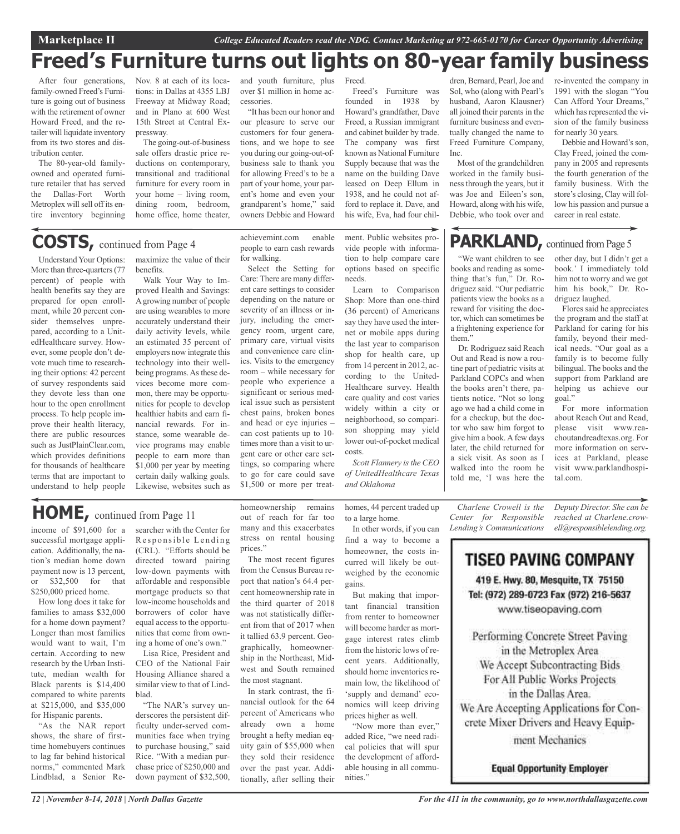## **Freed's Furniture turns out lights on 80-year family business**

Freed.

After four generations, family-owned Freed's Furniture is going out of business with the retirement of owner Howard Freed, and the retailer will liquidate inventory from its two stores and distribution center.

The 80-year-old familyowned and operated furniture retailer that has served the Dallas-Fort Worth Metroplex will sell off its entire inventory beginning

Nov. 8 at each of its locations: in Dallas at 4355 LBJ Freeway at Midway Road; and in Plano at 600 West 15th Street at Central Expressway.

The going-out-of-business sale offers drastic price reductions on contemporary, transitional and traditional furniture for every room in your home – living room, dining room, bedroom. home office, home theater,

and youth furniture, plus over \$1 million in home accessories.

"It has been our honor and our pleasure to serve our customers for four generations, and we hope to see you during our going-out-ofbusiness sale to thank you for allowing Freed's to be a part of your home, your parent's home and even your grandparent's home," said owners Debbie and Howard

Freed's Furniture was founded in 1938 by Howard's grandfather, Dave Freed, a Russian immigrant and cabinet builder by trade. The company was first known as National Furniture Supply because that was the name on the building Dave leased on Deep Ellum in 1938, and he could not afford to replace it. Dave, and his wife, Eva, had four chil-

dren, Bernard, Pearl, Joe and Sol, who (along with Pearl's husband, Aaron Klausner) all joined their parents in the furniture business and eventually changed the name to Freed Furniture Company, Inc.

Most of the grandchildren worked in the family business through the years, but it was Joe and Eileen's son, Howard, along with his wife, Debbie, who took over and

"We want children to see books and reading as something that's fun," Dr. Rodriguez said. "Our pediatric patients view the books as a reward for visiting the doctor, which can sometimes be a frightening experience for

PARKLAND, continued from Page 5

Dr. Rodriguez said Reach Out and Read is now a routine part of pediatric visits at Parkland COPCs and when the books aren't there, patients notice. "Not so long ago we had a child come in for a checkup, but the doctor who saw him forgot to give him a book.Afew days later, the child returned for a sick visit. As soon as I walked into the room he told me, 'I was here the

re-invented the company in 1991 with the slogan "You Can Afford Your Dreams," which has represented the vision of the family business for nearly 30 years.

Debbie and Howard's son, Clay Freed, joined the company in 2005 and represents the fourth generation of the family business. With the store's closing, Clay will follow his passion and pursue a career in real estate.

## **COSTS,** continued from Page <sup>4</sup>

Understand Your Options: More than three-quarters(77 percent) of people with health benefits say they are prepared for open enrollment, while 20 percent consider themselves unprepared, according to a UnitedHealthcare survey. However, some people don't devote much time to researching their options: 42 percent of survey respondents said they devote less than one hour to the open enrollment process. To help people improve their health literacy, there are public resources such as JustPlainClear.com, which provides definitions for thousands of healthcare terms that are important to understand to help people

maximize the value of their benefits.

Walk Your Way to Improved Health and Savings: Agrowing number of people are using wearables to more accurately understand their daily activity levels, while an estimated 35 percent of employers now integrate this technology into their wellbeing programs. As these devices become more common, there may be opportunities for people to develop healthier habits and earn financial rewards. For instance, some wearable device programs may enable people to earn more than \$1,000 per year by meeting certain daily walking goals. Likewise, websites such as

achievemint.com enable people to earn cash rewards for walking.

Select the Setting for Care: There are many different care settings to consider depending on the nature or severity of an illness or injury, including the emergency room, urgent care, primary care, virtual visits and convenience care clinics. Visits to the emergency room – while necessary for people who experience a significant or serious medical issue such as persistent chest pains, broken bones and head or eye injuries – can cost patients up to 10 times more than a visit to urgent care or other care settings, so comparing where to go for care could save \$1,500 or more per treatment. Public websites provide people with information to help compare care options based on specific needs.

Learn to Comparison Shop: More than one-third (36 percent) of Americans say they have used the internet or mobile apps during the last year to comparison shop for health care, up from 14 percent in 2012, according to the United-Healthcare survey. Health care quality and cost varies widely within a city or neighborhood, so comparison shopping may yield lower out-of-pocket medical costs.

*Scott Flannery isthe CEO of UnitedHealthcare Texas and Oklahoma*

> *Charlene Crowell is the Center for Responsible Lending's Communications*

other day, but I didn't get a book.' I immediately told him not to worry and we got him his book," Dr. Rodriguez laughed.

Flores said he appreciates the program and the staff at Parkland for caring for his family, beyond their medical needs. "Our goal as a family is to become fully bilingual. The books and the support from Parkland are helping us achieve our goal."

For more information about Reach Out and Read, please visit www.reachoutandreadtexas.org. For more information on services at Parkland, please visit www.parklandhospital.com.

*Deputy Director. She can be*

them."

*reached at Charlene.crowell@responsiblelending.org.*

**TISEO PAVING COMPANY** 419 E. Hwy. 80, Mesquite, TX 75150

Tel: (972) 289-0723 Fax (972) 216-5637 www.tiseopaving.com

Performing Concrete Street Paving in the Metroplex Area We Accept Subcontracting Bids For All Public Works Projects in the Dallas Area. We Are Accepting Applications for Con-

crete Mixer Drivers and Heavy Equip-

ment Mechanics

**Equal Opportunity Employer** 

## **HOME,** continued from Page <sup>11</sup>

income of \$91,600 for a successful mortgage application. Additionally, the nation's median home down payment now is 13 percent, or \$32,500 for that \$250,000 priced home.

How long does it take for families to amass \$32,000 for a home down payment? Longer than most families would want to wait, I'm certain. According to new research by the Urban Institute, median wealth for Black parents is \$14,400 compared to white parents at \$215,000, and \$35,000 for Hispanic parents.

"As the NAR report shows, the share of firsttime homebuyers continues to lag far behind historical norms," commented Mark Lindblad, a Senior Researcher with the Center for Responsible Lending (CRL). "Efforts should be directed toward pairing low-down payments with affordable and responsible mortgage products so that low-income households and borrowers of color have equal access to the opportunities that come from owning a home of one's own."

Lisa Rice, President and CEO of the National Fair Housing Alliance shared a similar view to that of Lindblad.

"The NAR's survey underscores the persistent difficulty under-served communities face when trying to purchase housing," said Rice. "With a median purchase price of \$250,000 and down payment of \$32,500,

homeownership remains out of reach for far too many and this exacerbates stress on rental housing prices."

The most recent figures from the Census Bureau report that nation's 64.4 percent homeownership rate in the third quarter of 2018 was not statistically different from that of 2017 when it tallied 63.9 percent. Geographically, homeownership in the Northeast, Midwest and South remained the most stagnant.

In stark contrast, the financial outlook for the 64 percent of Americans who already own a home brought a hefty median equity gain of \$55,000 when they sold their residence over the past year. Additionally, after selling their

homes, 44 percent traded up to a large home. In other words, if you can

find a way to become a homeowner, the costs incurred will likely be outweighed by the economic gains.

But making that important financial transition from renter to homeowner will become harder as mortgage interest rates climb from the historic lows of recent years. Additionally, should home inventories remain low, the likelihood of 'supply and demand' economics will keep driving prices higher as well.

"Now more than ever," added Rice, "we need radical policies that will spur the development of affordable housing in all communities."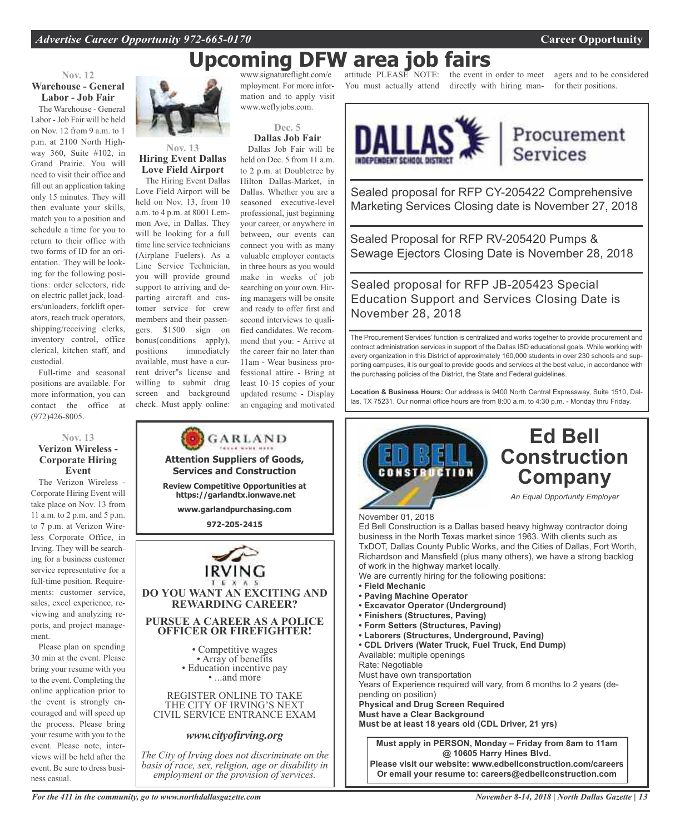## **Upcoming DFW area job fairs**

#### **Nov. 12 Warehouse - General Labor - Job Fair**

The Warehouse - General Labor - Job Fair will be held on Nov. 12 from 9 a.m. to 1 p.m. at 2100 North Highway 360, Suite #102, in Grand Prairie. You will need to visit their office and fill out an application taking only 15 minutes. They will then evaluate your skills, match you to a position and schedule a time for you to return to their office with two forms of ID for an orientation. They will be looking for the following positions: order selectors, ride on electric pallet jack, loaders/unloaders, forklift operators, reach truck operators, shipping/receiving clerks, inventory control, office clerical, kitchen staff, and custodial.

Full-time and seasonal positions are available. For more information, you can contact the office at (972)426-8005.

#### **Nov. 13 Verizon Wireless - Corporate Hiring Event**

The Verizon Wireless - Corporate Hiring Event will take place on Nov. 13 from 11 a.m. to 2 p.m. and 5 p.m. to 7 p.m. at Verizon Wireless Corporate Office, in Irving. They will be searching for a business customer service representative for a full-time position. Requirements: customer service, sales, excel experience, reviewing and analyzing reports, and project management.

Please plan on spending 30 min at the event. Please bring your resume with you to the event. Completing the online application prior to the event is strongly encouraged and will speed up the process. Please bring your resume with you to the event. Please note, interviews will be held after the event. Be sure to dress business casual.



#### **Nov. 13 Hiring Event Dallas Love Field Airport**

The Hiring Event Dallas Love Field Airport will be held on Nov. 13, from 10 a.m. to 4 p.m. at 8001 Lemmon Ave, in Dallas. They will be looking for a full time line service technicians (Airplane Fuelers). As a Line Service Technician, you will provide ground support to arriving and departing aircraft and customer service for crew members and their passengers. \$1500 sign on bonus(conditions apply), positions immediately available, must have a current driver''s license and willing to submit drug screen and background check. Must apply online:

www.signatureflight.com/e mployment. For more information and to apply visit www.weflyjobs.com.



Dallas Job Fair will be held on Dec. 5 from 11 a.m. to 2 p.m. at Doubletree by Hilton Dallas-Market, in Dallas. Whether you are a seasoned executive-level professional, just beginning your career, or anywhere in between, our events can connect you with as many valuable employer contacts in three hours as you would make in weeks of job searching on your own. Hiring managers will be onsite and ready to offer first and second interviews to qualified candidates. We recommend that you: - Arrive at the career fair no later than 11am - Wear business professional attire - Bring at least 10-15 copies of your updated resume - Display an engaging and motivated

attitude PLEASE NOTE: the event in order to meet

You must actually attend directly with hiring man-

agers and to be considered for their positions.



## Procurement **Services**

**Ed Bell**

Sealed proposal for RFP CY-205422 Comprehensive Marketing Services Closing date is November 27, 2018

Sealed Proposal for RFP RV-205420 Pumps & Sewage Ejectors Closing Date is November 28, 2018

Sealed proposal for RFP JB-205423 Special Education Support and Services Closing Date is November 28, 2018

The Procurement Services' function is centralized and works together to provide procurement and contract administration services in support of the Dallas ISD educational goals. While working with every organization in this District of approximately 160,000 students in over 230 schools and supporting campuses, it is our goal to provide goods and services at the best value, in accordance with the purchasing policies of the District, the State and Federal guidelines.

**Location & Business Hours:** Our address is 9400 North Central Expressway, Suite 1510, Dallas, TX 75231. Our normal office hours are from 8:00 a.m. to 4:30 p.m. - Monday thru Friday.



#### *For the 411 in the community, go to www.northdallasgazette.com*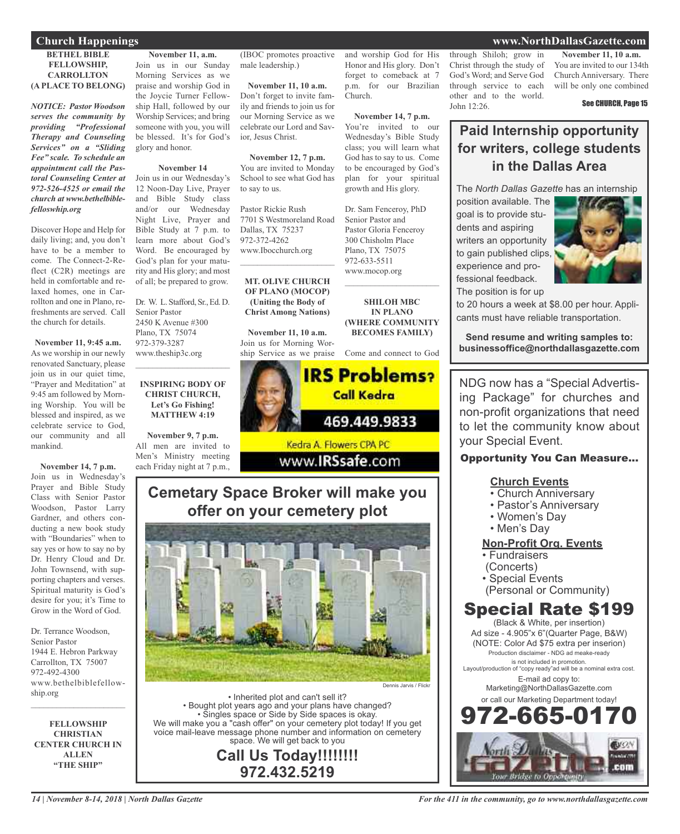#### **Church Happenings www.NorthDallasGazette.com**

#### **BETHEL BIBLE FELLOWSHIP,**

**CARROLLTON (A PLACE TO BELONG)**

*NOTICE: Pastor Woodson serves the community by providing "Professional Therapy and Counseling Services" on a "Sliding Fee" scale. To schedule an appointment call the Pastoral Counseling Center at 972-526-4525 or email the church at www.bethelbiblefelloswhip.org*

Discover Hope and Help for daily living; and, you don't have to be a member to come. The Connect-2-Reflect (C2R) meetings are held in comfortable and relaxed homes, one in Carrollton and one in Plano, refreshments are served. Call the church for details.

**November 11, 9:45 a.m.** As we worship in our newly renovated Sanctuary, please join us in our quiet time, "Prayer and Meditation" at 9:45 am followed by Morning Worship. You will be blessed and inspired, as we celebrate service to God, our community and all mankind.

**November 14, 7 p.m.**

Join us in Wednesday's Prayer and Bible Study Class with Senior Pastor Woodson, Pastor Larry Gardner, and others conducting a new book study with "Boundaries" when to say yes or how to say no by Dr. Henry Cloud and Dr. John Townsend, with supporting chapters and verses. Spiritual maturity is God's desire for you; it's Time to Grow in the Word of God.

Dr. Terrance Woodson, Senior Pastor 1944 E. Hebron Parkway Carrollton, TX 75007 972-492-4300 www.bethelbiblefellowship.org

**FELLOWSHIP CHRISTIAN CENTER CHURCH IN ALLEN "THE SHIP"**

 $\mathcal{L}_\text{max}$  , which is a set of the set of the set of the set of the set of the set of the set of the set of the set of the set of the set of the set of the set of the set of the set of the set of the set of the set of

**November 11, a.m.** Join us in our Sunday Morning Services as we praise and worship God in the Joycie Turner Fellowship Hall, followed by our Worship Services; and bring someone with you, you will be blessed. It's for God's glory and honor.

#### **November 14**

Join us in our Wednesday's 12 Noon-Day Live, Prayer and Bible Study class and/or our Wednesday Night Live, Prayer and Bible Study at 7 p.m. to learn more about God's Word. Be encouraged by God's plan for your maturity and His glory; and most of all; be prepared to grow.

Dr. W. L. Stafford, Sr., Ed. D. Senior Pastor 2450 K Avenue #300 Plano, TX 75074 972-379-3287 www.theship3c.org  $\overline{\phantom{a}}$  , and the set of the set of the set of the set of the set of the set of the set of the set of the set of the set of the set of the set of the set of the set of the set of the set of the set of the set of the s

#### **INSPIRING BODY OF CHRIST CHURCH, Let's Go Fishing! MATTHEW 4:19**

**November 9, 7 p.m.** All men are invited to Men's Ministry meeting each Friday night at 7 p.m.,

(IBOC promotes proactive male leadership.)

**November 11, 10 a.m.** Don't forget to invite family and friends to join us for our Morning Service as we celebrate our Lord and Savior, Jesus Christ.

**November 12, 7 p.m.** You are invited to Monday School to see what God has to say to us.

Pastor Rickie Rush 7701 S Westmoreland Road Dallas, TX 75237 972-372-4262 www.Ibocchurch.org  $\mathcal{L}$  , and the set of the set of the set of the set of the set of the set of the set of the set of the set of the set of the set of the set of the set of the set of the set of the set of the set of the set of the set

#### **MT. OLIVE CHURCH OF PLANO (MOCOP) (Uniting the Body of Christ Among Nations)**

**November 11, 10 a.m.** Join us for Morning Worship Service as we praise and worship God for His Honor and His glory. Don't forget to comeback at 7 p.m. for our Brazilian Church.

**November 14, 7 p.m.** You're invited to our Wednesday's Bible Study class; you will learn what God has to say to us. Come to be encouraged by God's plan for your spiritual growth and His glory.

Dr. Sam Fenceroy, PhD Senior Pastor and Pastor Gloria Fenceroy 300 Chisholm Place Plano, TX 75075 972-633-5511 www.mocop.org

**SHILOH MBC IN PLANO (WHERE COMMUNITY BECOMES FAMILY)**

 $\mathcal{L}_\text{max}$  , which is a set of the set of the set of the set of the set of the set of the set of the set of the set of the set of the set of the set of the set of the set of the set of the set of the set of the set of

Come and connect to God



### Kedra A. Flowers CPA PC www.IRSsafe.com

### **Cemetary Space Broker will make you offer on your cemetery plot**



• Inherited plot and can't sell it? • Bought plot years ago and your plans have changed? • Singles space or Side by Side spaces is okay. We will make you a "cash offer" on your cemetery plot today! If you get voice mail-leave message phone number and information on cemetery space. We will get back to you

**Call Us Today!!!!!!!! 972.432.5219**

through Shiloh; grow in Christ through the study of God's Word; and Serve God through service to each other and to the world. John 12:26.

**November 11, 10 a.m.** You are invited to our 134th Church Anniversary. There will be only one combined

See CHURCH, Page 15

### **Paid Internship opportunity for writers, college students in the Dallas Area**

The *North Dallas Gazette* has an internship

position available. The goal is to provide students and aspiring writers an opportunity to gain published clips, experience and professional feedback. The position is for up



to 20 hours a week at \$8.00 per hour. Appli-

cants must have reliable transportation.

**Send resume and writing samples to: businessoffice@northdallasgazette.com**

NDG now has a "Special Advertising Package" for churches and non-profit organizations that need to let the community know about your Special Event.

#### Opportunity You Can Measure...

#### **Church Events**

- Church Anniversary
- Pastor's Anniversary
- Women's Day
- Men's Day

#### **Non-Profit Org. Events**

- Fundraisers
- (Concerts)
- Special Events
- (Personal or Community)

### Special Rate \$199

(Black & White, per insertion) Ad size - 4.905"x 6"(Quarter Page, B&W) (NOTE: Color Ad \$75 extra per inserion) Production disclaimer - NDG ad meake-ready is not included in promotion. Layout/production of "copy ready"ad will be a nominal extra cost. E-mail ad copy to: Marketing@NorthDallasGazette.com or call our Marketing Department today!

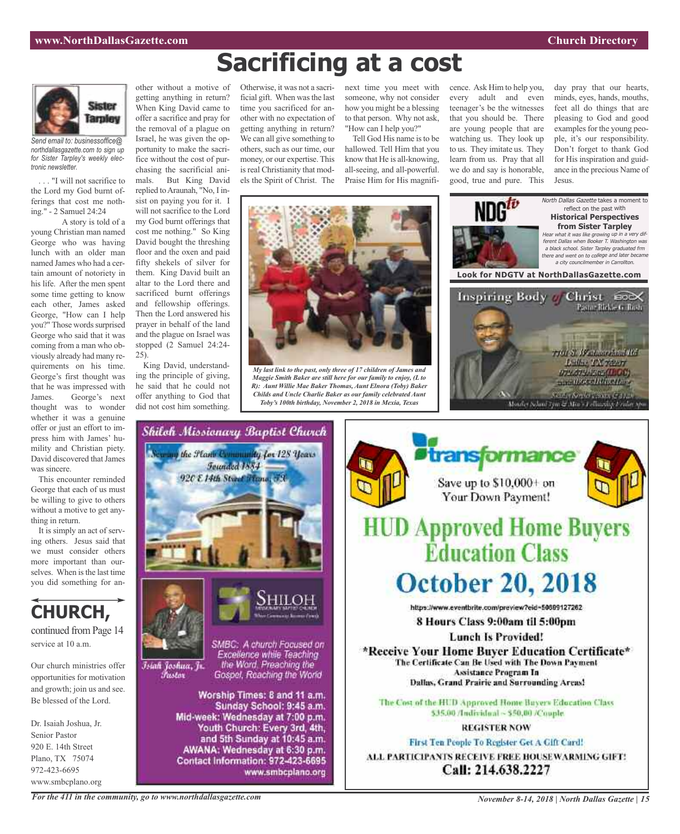

*Send email to: businessoffice@ northdallasgazette.com to sign up for Sister Tarpley's weekly electronic newsletter.*

. . . "I will not sacrifice to the Lord my God burnt offerings that cost me nothing." - 2 Samuel 24:24

A story is told of a young Christian man named George who was having lunch with an older man named James who had a certain amount of notoriety in his life. After the men spent some time getting to know each other, James asked George, "How can I help you?" Those words surprised George who said that it was coming from a man who obviously already had many requirements on his time. George's first thought was that he was impressed with James. George's next thought was to wonder whether it was a genuine offer or just an effort to impress him with James' humility and Christian piety. David discovered that James was sincere.

This encounter reminded George that each of us must be willing to give to others without a motive to get anything in return.

It is simply an act of serving others. Jesus said that we must consider others more important than ourselves. When is the last time you did something for an-



Our church ministries offer opportunities for motivation and growth; join us and see. Be blessed of the Lord.

Dr. Isaiah Joshua, Jr. Senior Pastor 920 E. 14th Street Plano, TX 75074 972-423-6695 www.smbcplano.org

other without a motive of getting anything in return? When King David came to offer a sacrifice and pray for the removal of a plague on Israel, he was given the opportunity to make the sacrifice without the cost of purchasing the sacrificial animals. But King David replied to Araunah, "No, I insist on paying you for it. I will not sacrifice to the Lord my God burnt offerings that cost me nothing." So King David bought the threshing floor and the oxen and paid fifty shekels of silver for them. King David built an altar to the Lord there and sacrificed burnt offerings and fellowship offerings. Then the Lord answered his prayer in behalf of the land and the plague on Israel was stopped (2 Samuel 24:24-

25). King David, understanding the principle of giving, he said that he could not offer anything to God that did not cost him something.

Otherwise, it was not a sacrificial gift. When wasthe last time you sacrificed for another with no expectation of getting anything in return? We can all give something to others, such as our time, our money, or our expertise. This is real Christianity that models the Spirit of Christ. The

next time you meet with someone, why not consider how you might be a blessing to that person. Why not ask, "How can I help you?"

Tell God His name is to be hallowed. Tell Him that you know that He is all-knowing, all-seeing, and all-powerful. Praise Him for His magnificence. Ask Him to help you, every adult and even teenager's be the witnesses that you should be. There are young people that are watching us. They look up to us. They imitate us. They learn from us. Pray that all we do and say is honorable, good, true and pure. This

day pray that our hearts, minds, eyes, hands, mouths, feet all do things that are pleasing to God and good examples for the young people, it's our responsibility. Don't forget to thank God for His inspiration and guidance in the precious Name of Jesus.



**Sacrificing at a cost**

*My last link to the past, only three of 17 children of James and Maggie Smith Baker are still here for our family to enjoy, (L to R): Aunt Willie Mae Baker Thomas, Aunt Elnora (Toby) Baker Childs and Uncle Charlie Baker as our family celebrated Aunt Toby's 100th birthday, November 2, 2018 in Mexia, Texas*







*November 8-14, 2018 | North Dallas Gazette | 15*